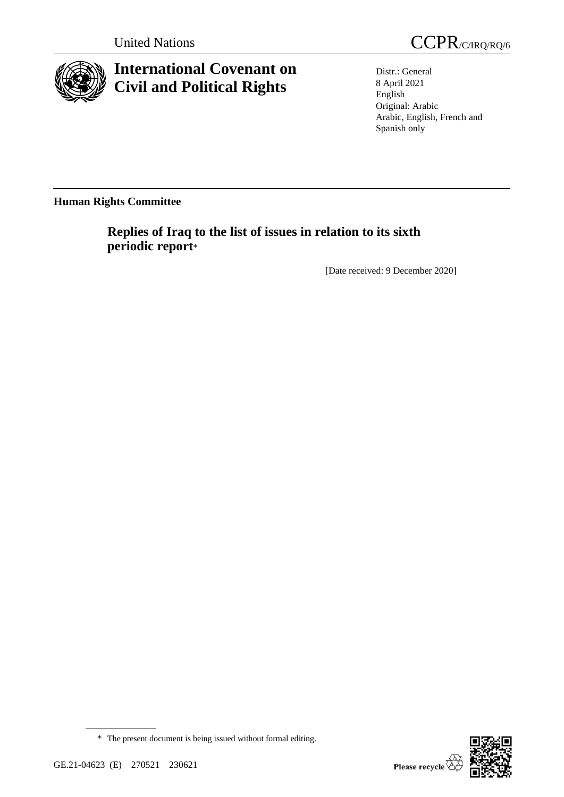

# **International Covenant on Civil and Political Rights**



Distr.: General 8 April 2021 English Original: Arabic Arabic, English, French and Spanish only

**Human Rights Committee**

**Replies of Iraq to the list of issues in relation to its sixth periodic report**\*

[Date received: 9 December 2020]

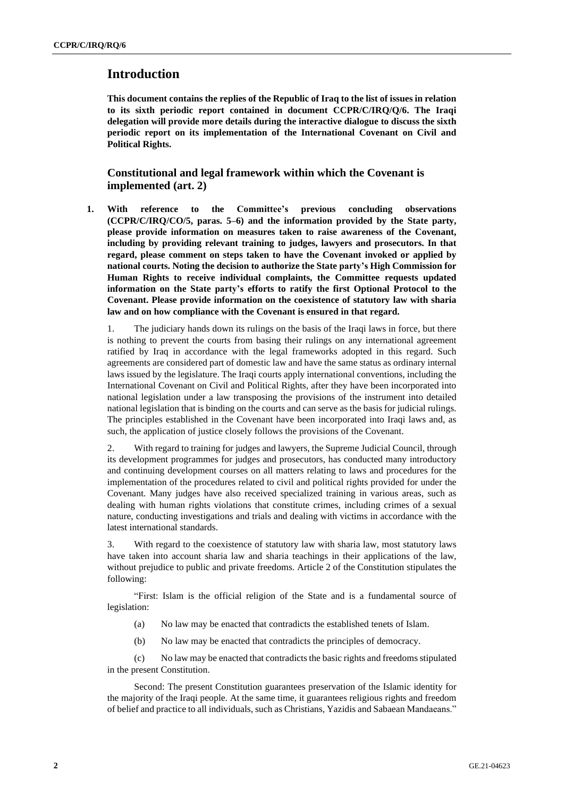# **Introduction**

**This document contains the replies of the Republic of Iraq to the list of issues in relation to its sixth periodic report contained in document CCPR/C/IRQ/Q/6. The Iraqi delegation will provide more details during the interactive dialogue to discuss the sixth periodic report on its implementation of the International Covenant on Civil and Political Rights.**

# **Constitutional and legal framework within which the Covenant is implemented (art. 2)**

**1. With reference to the Committee's previous concluding observations (CCPR/C/IRQ/CO/5, paras. 5–6) and the information provided by the State party, please provide information on measures taken to raise awareness of the Covenant, including by providing relevant training to judges, lawyers and prosecutors. In that regard, please comment on steps taken to have the Covenant invoked or applied by national courts. Noting the decision to authorize the State party's High Commission for Human Rights to receive individual complaints, the Committee requests updated information on the State party's efforts to ratify the first Optional Protocol to the Covenant. Please provide information on the coexistence of statutory law with sharia law and on how compliance with the Covenant is ensured in that regard.**

1. The judiciary hands down its rulings on the basis of the Iraqi laws in force, but there is nothing to prevent the courts from basing their rulings on any international agreement ratified by Iraq in accordance with the legal frameworks adopted in this regard. Such agreements are considered part of domestic law and have the same status as ordinary internal laws issued by the legislature. The Iraqi courts apply international conventions, including the International Covenant on Civil and Political Rights, after they have been incorporated into national legislation under a law transposing the provisions of the instrument into detailed national legislation that is binding on the courts and can serve as the basis for judicial rulings. The principles established in the Covenant have been incorporated into Iraqi laws and, as such, the application of justice closely follows the provisions of the Covenant.

2. With regard to training for judges and lawyers, the Supreme Judicial Council, through its development programmes for judges and prosecutors, has conducted many introductory and continuing development courses on all matters relating to laws and procedures for the implementation of the procedures related to civil and political rights provided for under the Covenant. Many judges have also received specialized training in various areas, such as dealing with human rights violations that constitute crimes, including crimes of a sexual nature, conducting investigations and trials and dealing with victims in accordance with the latest international standards.

3. With regard to the coexistence of statutory law with sharia law, most statutory laws have taken into account sharia law and sharia teachings in their applications of the law, without prejudice to public and private freedoms. Article 2 of the Constitution stipulates the following:

"First: Islam is the official religion of the State and is a fundamental source of legislation:

- (a) No law may be enacted that contradicts the established tenets of Islam.
- (b) No law may be enacted that contradicts the principles of democracy.

(c) No law may be enacted that contradictsthe basic rights and freedoms stipulated in the present Constitution.

Second: The present Constitution guarantees preservation of the Islamic identity for the majority of the Iraqi people. At the same time, it guarantees religious rights and freedom of belief and practice to all individuals, such as Christians, Yazidis and Sabaean Mandaeans."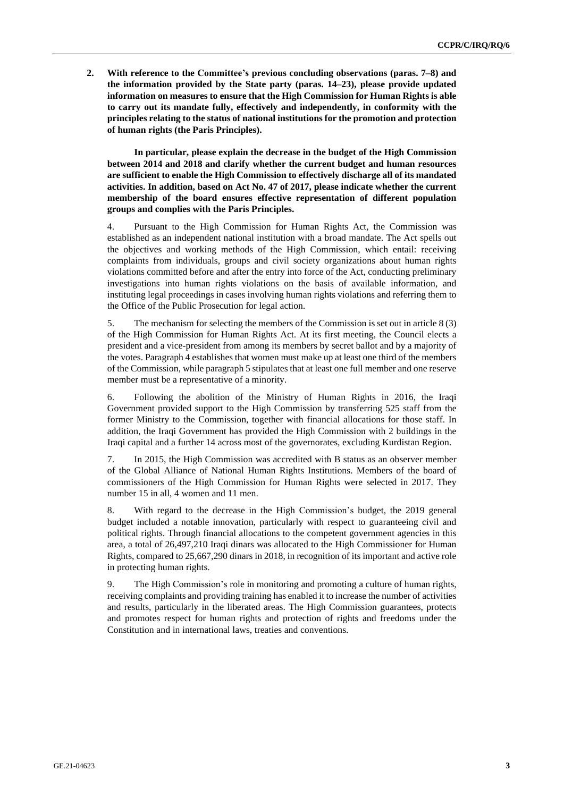**2. With reference to the Committee's previous concluding observations (paras. 7–8) and the information provided by the State party (paras. 14–23), please provide updated information on measures to ensure that the High Commission for Human Rights is able to carry out its mandate fully, effectively and independently, in conformity with the principles relating to the status of national institutions for the promotion and protection of human rights (the Paris Principles).**

**In particular, please explain the decrease in the budget of the High Commission between 2014 and 2018 and clarify whether the current budget and human resources are sufficient to enable the High Commission to effectively discharge all of its mandated activities. In addition, based on Act No. 47 of 2017, please indicate whether the current membership of the board ensures effective representation of different population groups and complies with the Paris Principles.**

4. Pursuant to the High Commission for Human Rights Act, the Commission was established as an independent national institution with a broad mandate. The Act spells out the objectives and working methods of the High Commission, which entail: receiving complaints from individuals, groups and civil society organizations about human rights violations committed before and after the entry into force of the Act, conducting preliminary investigations into human rights violations on the basis of available information, and instituting legal proceedings in cases involving human rights violations and referring them to the Office of the Public Prosecution for legal action.

5. The mechanism for selecting the members of the Commission is set out in article 8 (3) of the High Commission for Human Rights Act. At its first meeting, the Council elects a president and a vice-president from among its members by secret ballot and by a majority of the votes. Paragraph 4 establishes that women must make up at least one third of the members of the Commission, while paragraph 5 stipulates that at least one full member and one reserve member must be a representative of a minority.

6. Following the abolition of the Ministry of Human Rights in 2016, the Iraqi Government provided support to the High Commission by transferring 525 staff from the former Ministry to the Commission, together with financial allocations for those staff. In addition, the Iraqi Government has provided the High Commission with 2 buildings in the Iraqi capital and a further 14 across most of the governorates, excluding Kurdistan Region.

7. In 2015, the High Commission was accredited with B status as an observer member of the Global Alliance of National Human Rights Institutions. Members of the board of commissioners of the High Commission for Human Rights were selected in 2017. They number 15 in all, 4 women and 11 men.

8. With regard to the decrease in the High Commission's budget, the 2019 general budget included a notable innovation, particularly with respect to guaranteeing civil and political rights. Through financial allocations to the competent government agencies in this area, a total of 26,497,210 Iraqi dinars was allocated to the High Commissioner for Human Rights, compared to 25,667,290 dinars in 2018, in recognition of its important and active role in protecting human rights.

9. The High Commission's role in monitoring and promoting a culture of human rights, receiving complaints and providing training has enabled it to increase the number of activities and results, particularly in the liberated areas. The High Commission guarantees, protects and promotes respect for human rights and protection of rights and freedoms under the Constitution and in international laws, treaties and conventions.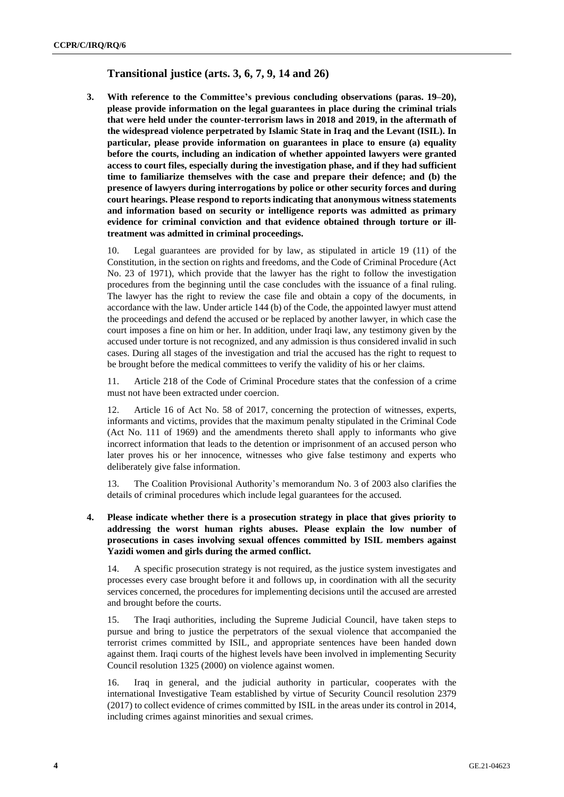# **Transitional justice (arts. 3, 6, 7, 9, 14 and 26)**

**3. With reference to the Committee's previous concluding observations (paras. 19–20), please provide information on the legal guarantees in place during the criminal trials that were held under the counter-terrorism laws in 2018 and 2019, in the aftermath of the widespread violence perpetrated by Islamic State in Iraq and the Levant (ISIL). In particular, please provide information on guarantees in place to ensure (a) equality before the courts, including an indication of whether appointed lawyers were granted access to court files, especially during the investigation phase, and if they had sufficient time to familiarize themselves with the case and prepare their defence; and (b) the presence of lawyers during interrogations by police or other security forces and during court hearings. Please respond to reports indicating that anonymous witness statements and information based on security or intelligence reports was admitted as primary evidence for criminal conviction and that evidence obtained through torture or illtreatment was admitted in criminal proceedings.**

10. Legal guarantees are provided for by law, as stipulated in article 19 (11) of the Constitution, in the section on rights and freedoms, and the Code of Criminal Procedure (Act No. 23 of 1971), which provide that the lawyer has the right to follow the investigation procedures from the beginning until the case concludes with the issuance of a final ruling. The lawyer has the right to review the case file and obtain a copy of the documents, in accordance with the law. Under article 144 (b) of the Code, the appointed lawyer must attend the proceedings and defend the accused or be replaced by another lawyer, in which case the court imposes a fine on him or her. In addition, under Iraqi law, any testimony given by the accused under torture is not recognized, and any admission is thus considered invalid in such cases. During all stages of the investigation and trial the accused has the right to request to be brought before the medical committees to verify the validity of his or her claims.

11. Article 218 of the Code of Criminal Procedure states that the confession of a crime must not have been extracted under coercion.

12. Article 16 of Act No. 58 of 2017, concerning the protection of witnesses, experts, informants and victims, provides that the maximum penalty stipulated in the Criminal Code (Act No. 111 of 1969) and the amendments thereto shall apply to informants who give incorrect information that leads to the detention or imprisonment of an accused person who later proves his or her innocence, witnesses who give false testimony and experts who deliberately give false information.

13. The Coalition Provisional Authority's memorandum No. 3 of 2003 also clarifies the details of criminal procedures which include legal guarantees for the accused.

**4. Please indicate whether there is a prosecution strategy in place that gives priority to addressing the worst human rights abuses. Please explain the low number of prosecutions in cases involving sexual offences committed by ISIL members against Yazidi women and girls during the armed conflict.**

14. A specific prosecution strategy is not required, as the justice system investigates and processes every case brought before it and follows up, in coordination with all the security services concerned, the procedures for implementing decisions until the accused are arrested and brought before the courts.

15. The Iraqi authorities, including the Supreme Judicial Council, have taken steps to pursue and bring to justice the perpetrators of the sexual violence that accompanied the terrorist crimes committed by ISIL, and appropriate sentences have been handed down against them. Iraqi courts of the highest levels have been involved in implementing Security Council resolution 1325 (2000) on violence against women.

16. Iraq in general, and the judicial authority in particular, cooperates with the international Investigative Team established by virtue of Security Council resolution 2379 (2017) to collect evidence of crimes committed by ISIL in the areas under its control in 2014, including crimes against minorities and sexual crimes.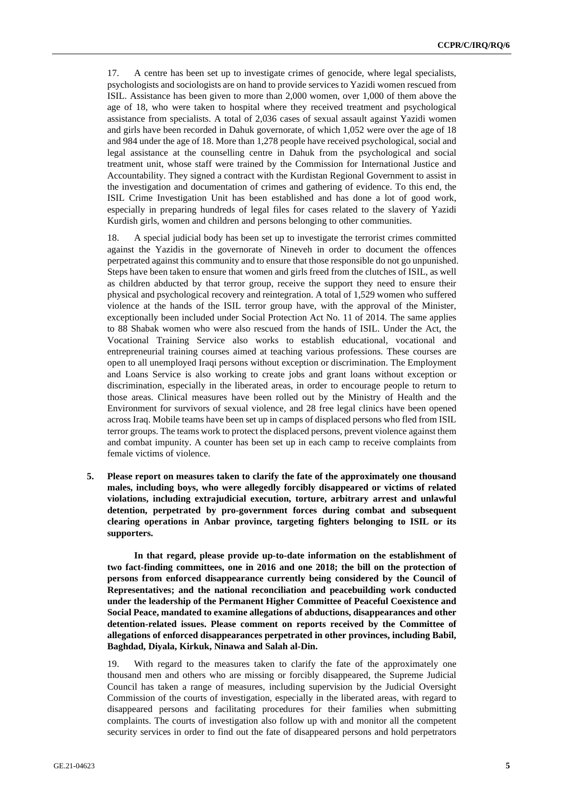17. A centre has been set up to investigate crimes of genocide, where legal specialists, psychologists and sociologists are on hand to provide services to Yazidi women rescued from ISIL. Assistance has been given to more than 2,000 women, over 1,000 of them above the age of 18, who were taken to hospital where they received treatment and psychological assistance from specialists. A total of 2,036 cases of sexual assault against Yazidi women and girls have been recorded in Dahuk governorate, of which 1,052 were over the age of 18 and 984 under the age of 18. More than 1,278 people have received psychological, social and legal assistance at the counselling centre in Dahuk from the psychological and social treatment unit, whose staff were trained by the Commission for International Justice and Accountability. They signed a contract with the Kurdistan Regional Government to assist in the investigation and documentation of crimes and gathering of evidence. To this end, the ISIL Crime Investigation Unit has been established and has done a lot of good work, especially in preparing hundreds of legal files for cases related to the slavery of Yazidi Kurdish girls, women and children and persons belonging to other communities.

18. A special judicial body has been set up to investigate the terrorist crimes committed against the Yazidis in the governorate of Nineveh in order to document the offences perpetrated against this community and to ensure that those responsible do not go unpunished. Steps have been taken to ensure that women and girls freed from the clutches of ISIL, as well as children abducted by that terror group, receive the support they need to ensure their physical and psychological recovery and reintegration. A total of 1,529 women who suffered violence at the hands of the ISIL terror group have, with the approval of the Minister, exceptionally been included under Social Protection Act No. 11 of 2014. The same applies to 88 Shabak women who were also rescued from the hands of ISIL. Under the Act, the Vocational Training Service also works to establish educational, vocational and entrepreneurial training courses aimed at teaching various professions. These courses are open to all unemployed Iraqi persons without exception or discrimination. The Employment and Loans Service is also working to create jobs and grant loans without exception or discrimination, especially in the liberated areas, in order to encourage people to return to those areas. Clinical measures have been rolled out by the Ministry of Health and the Environment for survivors of sexual violence, and 28 free legal clinics have been opened across Iraq. Mobile teams have been set up in camps of displaced persons who fled from ISIL terror groups. The teams work to protect the displaced persons, prevent violence against them and combat impunity. A counter has been set up in each camp to receive complaints from female victims of violence.

**5. Please report on measures taken to clarify the fate of the approximately one thousand males, including boys, who were allegedly forcibly disappeared or victims of related violations, including extrajudicial execution, torture, arbitrary arrest and unlawful detention, perpetrated by pro-government forces during combat and subsequent clearing operations in Anbar province, targeting fighters belonging to ISIL or its supporters.**

**In that regard, please provide up-to-date information on the establishment of two fact-finding committees, one in 2016 and one 2018; the bill on the protection of persons from enforced disappearance currently being considered by the Council of Representatives; and the national reconciliation and peacebuilding work conducted under the leadership of the Permanent Higher Committee of Peaceful Coexistence and Social Peace, mandated to examine allegations of abductions, disappearances and other detention-related issues. Please comment on reports received by the Committee of allegations of enforced disappearances perpetrated in other provinces, including Babil, Baghdad, Diyala, Kirkuk, Ninawa and Salah al-Din.**

19. With regard to the measures taken to clarify the fate of the approximately one thousand men and others who are missing or forcibly disappeared, the Supreme Judicial Council has taken a range of measures, including supervision by the Judicial Oversight Commission of the courts of investigation, especially in the liberated areas, with regard to disappeared persons and facilitating procedures for their families when submitting complaints. The courts of investigation also follow up with and monitor all the competent security services in order to find out the fate of disappeared persons and hold perpetrators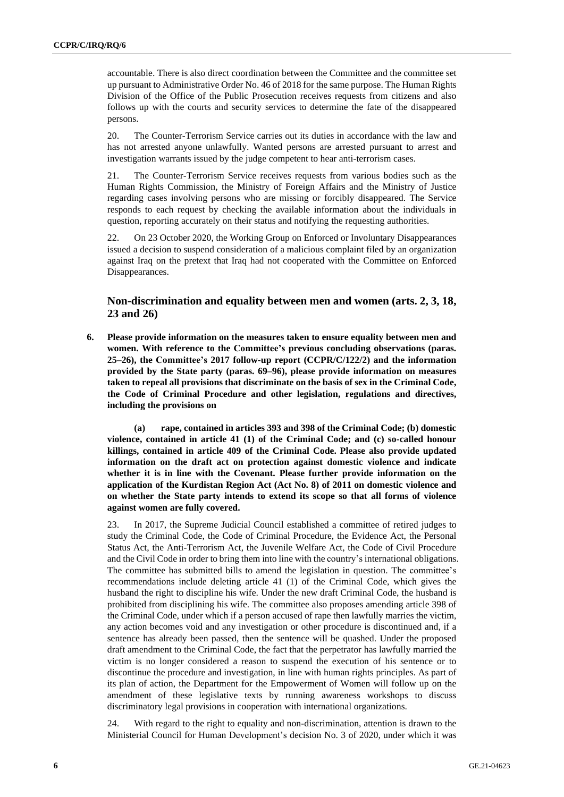accountable. There is also direct coordination between the Committee and the committee set up pursuant to Administrative Order No. 46 of 2018 for the same purpose. The Human Rights Division of the Office of the Public Prosecution receives requests from citizens and also follows up with the courts and security services to determine the fate of the disappeared persons.

20. The Counter-Terrorism Service carries out its duties in accordance with the law and has not arrested anyone unlawfully. Wanted persons are arrested pursuant to arrest and investigation warrants issued by the judge competent to hear anti-terrorism cases.

21. The Counter-Terrorism Service receives requests from various bodies such as the Human Rights Commission, the Ministry of Foreign Affairs and the Ministry of Justice regarding cases involving persons who are missing or forcibly disappeared. The Service responds to each request by checking the available information about the individuals in question, reporting accurately on their status and notifying the requesting authorities.

22. On 23 October 2020, the Working Group on Enforced or Involuntary Disappearances issued a decision to suspend consideration of a malicious complaint filed by an organization against Iraq on the pretext that Iraq had not cooperated with the Committee on Enforced Disappearances.

# **Non-discrimination and equality between men and women (arts. 2, 3, 18, 23 and 26)**

**6. Please provide information on the measures taken to ensure equality between men and women. With reference to the Committee's previous concluding observations (paras. 25–26), the Committee's 2017 follow-up report (CCPR/C/122/2) and the information provided by the State party (paras. 69–96), please provide information on measures taken to repeal all provisions that discriminate on the basis of sex in the Criminal Code, the Code of Criminal Procedure and other legislation, regulations and directives, including the provisions on**

**(a) rape, contained in articles 393 and 398 of the Criminal Code; (b) domestic violence, contained in article 41 (1) of the Criminal Code; and (c) so-called honour killings, contained in article 409 of the Criminal Code. Please also provide updated information on the draft act on protection against domestic violence and indicate whether it is in line with the Covenant. Please further provide information on the application of the Kurdistan Region Act (Act No. 8) of 2011 on domestic violence and on whether the State party intends to extend its scope so that all forms of violence against women are fully covered.**

23. In 2017, the Supreme Judicial Council established a committee of retired judges to study the Criminal Code, the Code of Criminal Procedure, the Evidence Act, the Personal Status Act, the Anti-Terrorism Act, the Juvenile Welfare Act, the Code of Civil Procedure and the Civil Code in order to bring them into line with the country's international obligations. The committee has submitted bills to amend the legislation in question. The committee's recommendations include deleting article 41 (1) of the Criminal Code, which gives the husband the right to discipline his wife. Under the new draft Criminal Code, the husband is prohibited from disciplining his wife. The committee also proposes amending article 398 of the Criminal Code, under which if a person accused of rape then lawfully marries the victim, any action becomes void and any investigation or other procedure is discontinued and, if a sentence has already been passed, then the sentence will be quashed. Under the proposed draft amendment to the Criminal Code, the fact that the perpetrator has lawfully married the victim is no longer considered a reason to suspend the execution of his sentence or to discontinue the procedure and investigation, in line with human rights principles. As part of its plan of action, the Department for the Empowerment of Women will follow up on the amendment of these legislative texts by running awareness workshops to discuss discriminatory legal provisions in cooperation with international organizations.

24. With regard to the right to equality and non-discrimination, attention is drawn to the Ministerial Council for Human Development's decision No. 3 of 2020, under which it was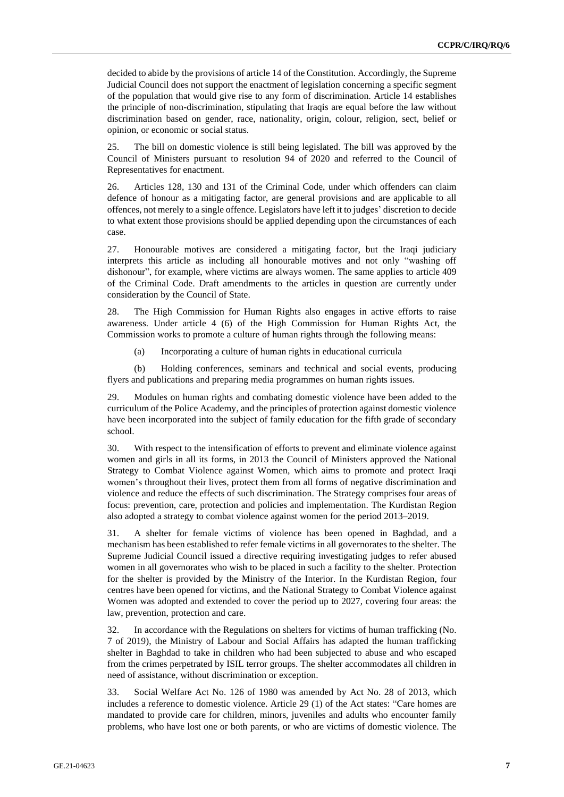decided to abide by the provisions of article 14 of the Constitution. Accordingly, the Supreme Judicial Council does not support the enactment of legislation concerning a specific segment of the population that would give rise to any form of discrimination. Article 14 establishes the principle of non-discrimination, stipulating that Iraqis are equal before the law without discrimination based on gender, race, nationality, origin, colour, religion, sect, belief or opinion, or economic or social status.

25. The bill on domestic violence is still being legislated. The bill was approved by the Council of Ministers pursuant to resolution 94 of 2020 and referred to the Council of Representatives for enactment.

26. Articles 128, 130 and 131 of the Criminal Code, under which offenders can claim defence of honour as a mitigating factor, are general provisions and are applicable to all offences, not merely to a single offence. Legislators have left it to judges' discretion to decide to what extent those provisions should be applied depending upon the circumstances of each case.

27. Honourable motives are considered a mitigating factor, but the Iraqi judiciary interprets this article as including all honourable motives and not only "washing off dishonour", for example, where victims are always women. The same applies to article 409 of the Criminal Code. Draft amendments to the articles in question are currently under consideration by the Council of State.

28. The High Commission for Human Rights also engages in active efforts to raise awareness. Under article 4 (6) of the High Commission for Human Rights Act, the Commission works to promote a culture of human rights through the following means:

(a) Incorporating a culture of human rights in educational curricula

(b) Holding conferences, seminars and technical and social events, producing flyers and publications and preparing media programmes on human rights issues.

29. Modules on human rights and combating domestic violence have been added to the curriculum of the Police Academy, and the principles of protection against domestic violence have been incorporated into the subject of family education for the fifth grade of secondary school.

30. With respect to the intensification of efforts to prevent and eliminate violence against women and girls in all its forms, in 2013 the Council of Ministers approved the National Strategy to Combat Violence against Women, which aims to promote and protect Iraqi women's throughout their lives, protect them from all forms of negative discrimination and violence and reduce the effects of such discrimination. The Strategy comprises four areas of focus: prevention, care, protection and policies and implementation. The Kurdistan Region also adopted a strategy to combat violence against women for the period 2013–2019.

31. A shelter for female victims of violence has been opened in Baghdad, and a mechanism has been established to refer female victims in all governorates to the shelter. The Supreme Judicial Council issued a directive requiring investigating judges to refer abused women in all governorates who wish to be placed in such a facility to the shelter. Protection for the shelter is provided by the Ministry of the Interior. In the Kurdistan Region, four centres have been opened for victims, and the National Strategy to Combat Violence against Women was adopted and extended to cover the period up to 2027, covering four areas: the law, prevention, protection and care.

32. In accordance with the Regulations on shelters for victims of human trafficking (No. 7 of 2019), the Ministry of Labour and Social Affairs has adapted the human trafficking shelter in Baghdad to take in children who had been subjected to abuse and who escaped from the crimes perpetrated by ISIL terror groups. The shelter accommodates all children in need of assistance, without discrimination or exception.

33. Social Welfare Act No. 126 of 1980 was amended by Act No. 28 of 2013, which includes a reference to domestic violence. Article 29 (1) of the Act states: "Care homes are mandated to provide care for children, minors, juveniles and adults who encounter family problems, who have lost one or both parents, or who are victims of domestic violence. The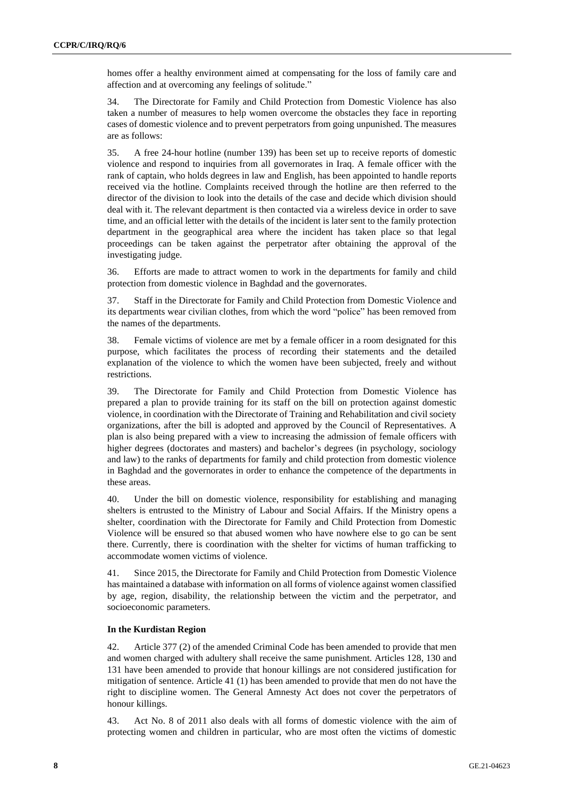homes offer a healthy environment aimed at compensating for the loss of family care and affection and at overcoming any feelings of solitude."

34. The Directorate for Family and Child Protection from Domestic Violence has also taken a number of measures to help women overcome the obstacles they face in reporting cases of domestic violence and to prevent perpetrators from going unpunished. The measures are as follows:

35. A free 24-hour hotline (number 139) has been set up to receive reports of domestic violence and respond to inquiries from all governorates in Iraq. A female officer with the rank of captain, who holds degrees in law and English, has been appointed to handle reports received via the hotline. Complaints received through the hotline are then referred to the director of the division to look into the details of the case and decide which division should deal with it. The relevant department is then contacted via a wireless device in order to save time, and an official letter with the details of the incident is later sent to the family protection department in the geographical area where the incident has taken place so that legal proceedings can be taken against the perpetrator after obtaining the approval of the investigating judge.

36. Efforts are made to attract women to work in the departments for family and child protection from domestic violence in Baghdad and the governorates.

37. Staff in the Directorate for Family and Child Protection from Domestic Violence and its departments wear civilian clothes, from which the word "police" has been removed from the names of the departments.

38. Female victims of violence are met by a female officer in a room designated for this purpose, which facilitates the process of recording their statements and the detailed explanation of the violence to which the women have been subjected, freely and without restrictions.

39. The Directorate for Family and Child Protection from Domestic Violence has prepared a plan to provide training for its staff on the bill on protection against domestic violence, in coordination with the Directorate of Training and Rehabilitation and civil society organizations, after the bill is adopted and approved by the Council of Representatives. A plan is also being prepared with a view to increasing the admission of female officers with higher degrees (doctorates and masters) and bachelor's degrees (in psychology, sociology and law) to the ranks of departments for family and child protection from domestic violence in Baghdad and the governorates in order to enhance the competence of the departments in these areas.

40. Under the bill on domestic violence, responsibility for establishing and managing shelters is entrusted to the Ministry of Labour and Social Affairs. If the Ministry opens a shelter, coordination with the Directorate for Family and Child Protection from Domestic Violence will be ensured so that abused women who have nowhere else to go can be sent there. Currently, there is coordination with the shelter for victims of human trafficking to accommodate women victims of violence.

41. Since 2015, the Directorate for Family and Child Protection from Domestic Violence has maintained a database with information on all forms of violence against women classified by age, region, disability, the relationship between the victim and the perpetrator, and socioeconomic parameters.

#### **In the Kurdistan Region**

42. Article 377 (2) of the amended Criminal Code has been amended to provide that men and women charged with adultery shall receive the same punishment. Articles 128, 130 and 131 have been amended to provide that honour killings are not considered justification for mitigation of sentence. Article 41 (1) has been amended to provide that men do not have the right to discipline women. The General Amnesty Act does not cover the perpetrators of honour killings.

43. Act No. 8 of 2011 also deals with all forms of domestic violence with the aim of protecting women and children in particular, who are most often the victims of domestic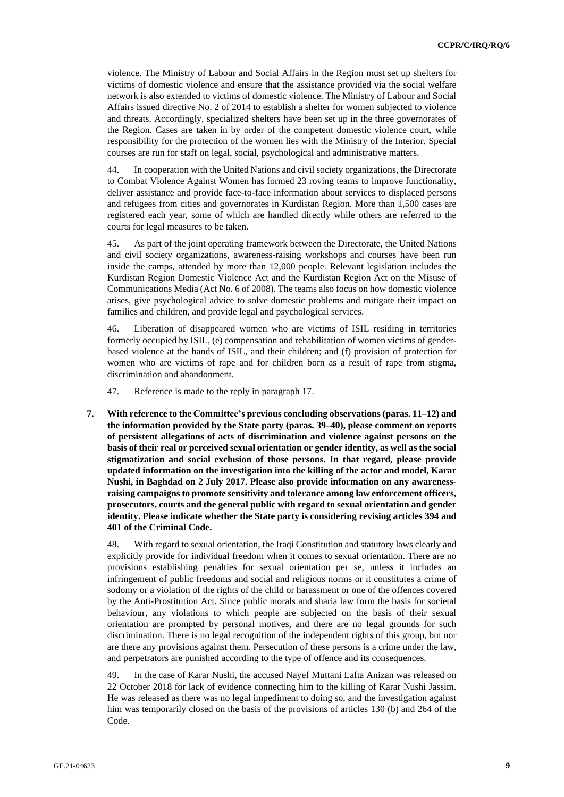violence. The Ministry of Labour and Social Affairs in the Region must set up shelters for victims of domestic violence and ensure that the assistance provided via the social welfare network is also extended to victims of domestic violence. The Ministry of Labour and Social Affairs issued directive No. 2 of 2014 to establish a shelter for women subjected to violence and threats. Accordingly, specialized shelters have been set up in the three governorates of the Region. Cases are taken in by order of the competent domestic violence court, while responsibility for the protection of the women lies with the Ministry of the Interior. Special courses are run for staff on legal, social, psychological and administrative matters.

44. In cooperation with the United Nations and civil society organizations, the Directorate to Combat Violence Against Women has formed 23 roving teams to improve functionality, deliver assistance and provide face-to-face information about services to displaced persons and refugees from cities and governorates in Kurdistan Region. More than 1,500 cases are registered each year, some of which are handled directly while others are referred to the courts for legal measures to be taken.

45. As part of the joint operating framework between the Directorate, the United Nations and civil society organizations, awareness-raising workshops and courses have been run inside the camps, attended by more than 12,000 people. Relevant legislation includes the Kurdistan Region Domestic Violence Act and the Kurdistan Region Act on the Misuse of Communications Media (Act No. 6 of 2008). The teams also focus on how domestic violence arises, give psychological advice to solve domestic problems and mitigate their impact on families and children, and provide legal and psychological services.

46. Liberation of disappeared women who are victims of ISIL residing in territories formerly occupied by ISIL, (e) compensation and rehabilitation of women victims of genderbased violence at the hands of ISIL, and their children; and (f) provision of protection for women who are victims of rape and for children born as a result of rape from stigma, discrimination and abandonment.

47. Reference is made to the reply in paragraph 17.

**7. With reference to the Committee's previous concluding observations (paras. 11–12) and the information provided by the State party (paras. 39–40), please comment on reports of persistent allegations of acts of discrimination and violence against persons on the basis of their real or perceived sexual orientation or gender identity, as well as the social stigmatization and social exclusion of those persons. In that regard, please provide updated information on the investigation into the killing of the actor and model, Karar Nushi, in Baghdad on 2 July 2017. Please also provide information on any awarenessraising campaigns to promote sensitivity and tolerance among law enforcement officers, prosecutors, courts and the general public with regard to sexual orientation and gender identity. Please indicate whether the State party is considering revising articles 394 and 401 of the Criminal Code.**

48. With regard to sexual orientation, the Iraqi Constitution and statutory laws clearly and explicitly provide for individual freedom when it comes to sexual orientation. There are no provisions establishing penalties for sexual orientation per se, unless it includes an infringement of public freedoms and social and religious norms or it constitutes a crime of sodomy or a violation of the rights of the child or harassment or one of the offences covered by the Anti-Prostitution Act. Since public morals and sharia law form the basis for societal behaviour, any violations to which people are subjected on the basis of their sexual orientation are prompted by personal motives, and there are no legal grounds for such discrimination. There is no legal recognition of the independent rights of this group, but nor are there any provisions against them. Persecution of these persons is a crime under the law, and perpetrators are punished according to the type of offence and its consequences.

49. In the case of Karar Nushi, the accused Nayef Muttani Lafta Anizan was released on 22 October 2018 for lack of evidence connecting him to the killing of Karar Nushi Jassim. He was released as there was no legal impediment to doing so, and the investigation against him was temporarily closed on the basis of the provisions of articles 130 (b) and 264 of the Code.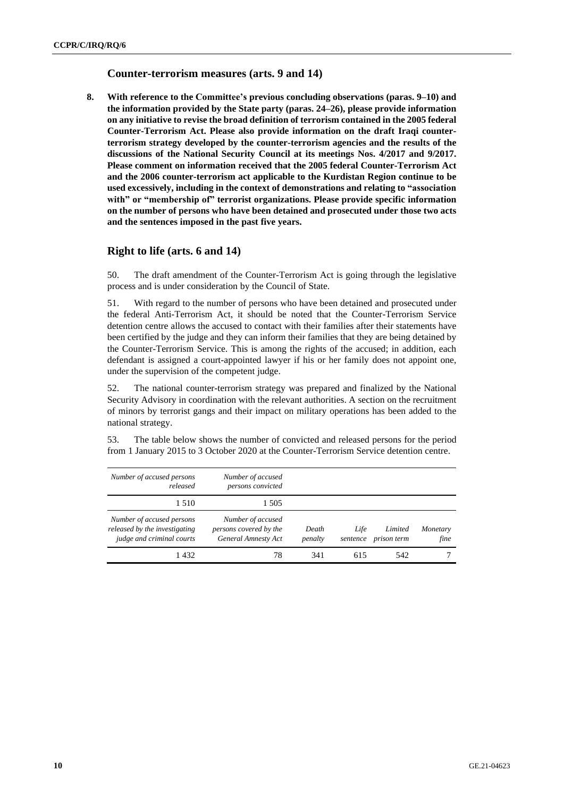### **Counter-terrorism measures (arts. 9 and 14)**

**8. With reference to the Committee's previous concluding observations (paras. 9–10) and the information provided by the State party (paras. 24–26), please provide information on any initiative to revise the broad definition of terrorism contained in the 2005 federal Counter-Terrorism Act. Please also provide information on the draft Iraqi counterterrorism strategy developed by the counter-terrorism agencies and the results of the discussions of the National Security Council at its meetings Nos. 4/2017 and 9/2017. Please comment on information received that the 2005 federal Counter-Terrorism Act and the 2006 counter-terrorism act applicable to the Kurdistan Region continue to be used excessively, including in the context of demonstrations and relating to "association with" or "membership of" terrorist organizations. Please provide specific information on the number of persons who have been detained and prosecuted under those two acts and the sentences imposed in the past five years.**

# **Right to life (arts. 6 and 14)**

50. The draft amendment of the Counter-Terrorism Act is going through the legislative process and is under consideration by the Council of State.

51. With regard to the number of persons who have been detained and prosecuted under the federal Anti-Terrorism Act, it should be noted that the Counter-Terrorism Service detention centre allows the accused to contact with their families after their statements have been certified by the judge and they can inform their families that they are being detained by the Counter-Terrorism Service. This is among the rights of the accused; in addition, each defendant is assigned a court-appointed lawyer if his or her family does not appoint one, under the supervision of the competent judge.

52. The national counter-terrorism strategy was prepared and finalized by the National Security Advisory in coordination with the relevant authorities. A section on the recruitment of minors by terrorist gangs and their impact on military operations has been added to the national strategy.

53. The table below shows the number of convicted and released persons for the period from 1 January 2015 to 3 October 2020 at the Counter-Terrorism Service detention centre.

| Number of accused persons<br>released                                                   | Number of accused<br>persons convicted                             |                  |                  |                        |                  |
|-----------------------------------------------------------------------------------------|--------------------------------------------------------------------|------------------|------------------|------------------------|------------------|
| 1.510                                                                                   | 1 505                                                              |                  |                  |                        |                  |
| Number of accused persons<br>released by the investigating<br>judge and criminal courts | Number of accused<br>persons covered by the<br>General Amnesty Act | Death<br>penalty | Life<br>sentence | Limited<br>prison term | Monetary<br>fine |
| 1432                                                                                    | 78                                                                 | 341              | 615              | 542                    |                  |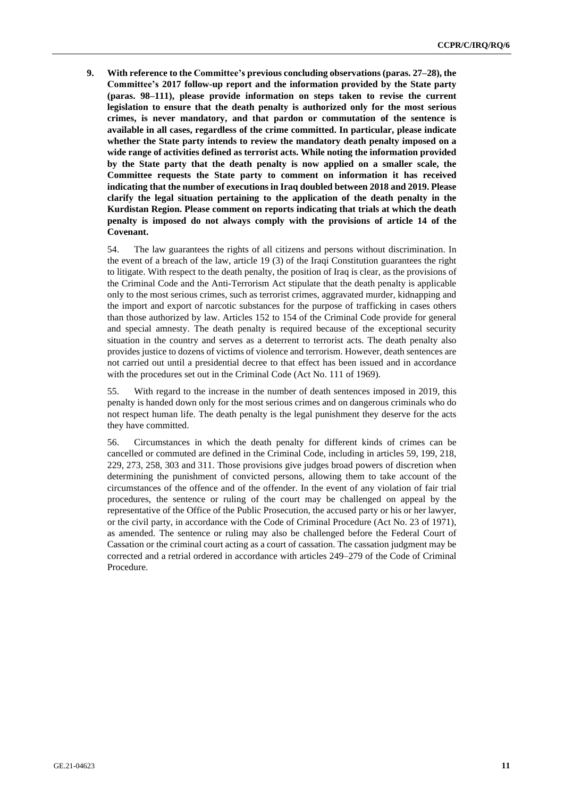**9. With reference to the Committee's previous concluding observations (paras. 27–28), the Committee's 2017 follow-up report and the information provided by the State party (paras. 98–111), please provide information on steps taken to revise the current legislation to ensure that the death penalty is authorized only for the most serious crimes, is never mandatory, and that pardon or commutation of the sentence is available in all cases, regardless of the crime committed. In particular, please indicate whether the State party intends to review the mandatory death penalty imposed on a wide range of activities defined as terrorist acts. While noting the information provided by the State party that the death penalty is now applied on a smaller scale, the Committee requests the State party to comment on information it has received indicating that the number of executions in Iraq doubled between 2018 and 2019. Please clarify the legal situation pertaining to the application of the death penalty in the Kurdistan Region. Please comment on reports indicating that trials at which the death penalty is imposed do not always comply with the provisions of article 14 of the Covenant.**

54. The law guarantees the rights of all citizens and persons without discrimination. In the event of a breach of the law, article 19 (3) of the Iraqi Constitution guarantees the right to litigate. With respect to the death penalty, the position of Iraq is clear, as the provisions of the Criminal Code and the Anti-Terrorism Act stipulate that the death penalty is applicable only to the most serious crimes, such as terrorist crimes, aggravated murder, kidnapping and the import and export of narcotic substances for the purpose of trafficking in cases others than those authorized by law. Articles 152 to 154 of the Criminal Code provide for general and special amnesty. The death penalty is required because of the exceptional security situation in the country and serves as a deterrent to terrorist acts. The death penalty also provides justice to dozens of victims of violence and terrorism. However, death sentences are not carried out until a presidential decree to that effect has been issued and in accordance with the procedures set out in the Criminal Code (Act No. 111 of 1969).

55. With regard to the increase in the number of death sentences imposed in 2019, this penalty is handed down only for the most serious crimes and on dangerous criminals who do not respect human life. The death penalty is the legal punishment they deserve for the acts they have committed.

56. Circumstances in which the death penalty for different kinds of crimes can be cancelled or commuted are defined in the Criminal Code, including in articles 59, 199, 218, 229, 273, 258, 303 and 311. Those provisions give judges broad powers of discretion when determining the punishment of convicted persons, allowing them to take account of the circumstances of the offence and of the offender. In the event of any violation of fair trial procedures, the sentence or ruling of the court may be challenged on appeal by the representative of the Office of the Public Prosecution, the accused party or his or her lawyer, or the civil party, in accordance with the Code of Criminal Procedure (Act No. 23 of 1971), as amended. The sentence or ruling may also be challenged before the Federal Court of Cassation or the criminal court acting as a court of cassation. The cassation judgment may be corrected and a retrial ordered in accordance with articles 249–279 of the Code of Criminal Procedure.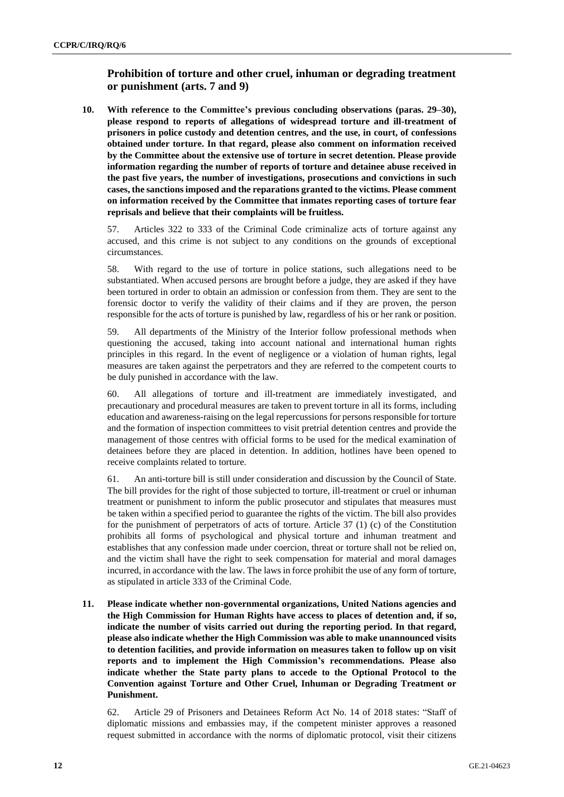# **Prohibition of torture and other cruel, inhuman or degrading treatment or punishment (arts. 7 and 9)**

**10. With reference to the Committee's previous concluding observations (paras. 29–30), please respond to reports of allegations of widespread torture and ill-treatment of prisoners in police custody and detention centres, and the use, in court, of confessions obtained under torture. In that regard, please also comment on information received by the Committee about the extensive use of torture in secret detention. Please provide information regarding the number of reports of torture and detainee abuse received in the past five years, the number of investigations, prosecutions and convictions in such cases, the sanctionsimposed and the reparations granted to the victims. Please comment on information received by the Committee that inmates reporting cases of torture fear reprisals and believe that their complaints will be fruitless.**

57. Articles 322 to 333 of the Criminal Code criminalize acts of torture against any accused, and this crime is not subject to any conditions on the grounds of exceptional circumstances.

58. With regard to the use of torture in police stations, such allegations need to be substantiated. When accused persons are brought before a judge, they are asked if they have been tortured in order to obtain an admission or confession from them. They are sent to the forensic doctor to verify the validity of their claims and if they are proven, the person responsible for the acts of torture is punished by law, regardless of his or her rank or position.

59. All departments of the Ministry of the Interior follow professional methods when questioning the accused, taking into account national and international human rights principles in this regard. In the event of negligence or a violation of human rights, legal measures are taken against the perpetrators and they are referred to the competent courts to be duly punished in accordance with the law.

60. All allegations of torture and ill-treatment are immediately investigated, and precautionary and procedural measures are taken to prevent torture in all its forms, including education and awareness-raising on the legal repercussions for persons responsible for torture and the formation of inspection committees to visit pretrial detention centres and provide the management of those centres with official forms to be used for the medical examination of detainees before they are placed in detention. In addition, hotlines have been opened to receive complaints related to torture.

61. An anti-torture bill is still under consideration and discussion by the Council of State. The bill provides for the right of those subjected to torture, ill-treatment or cruel or inhuman treatment or punishment to inform the public prosecutor and stipulates that measures must be taken within a specified period to guarantee the rights of the victim. The bill also provides for the punishment of perpetrators of acts of torture. Article 37 (1) (c) of the Constitution prohibits all forms of psychological and physical torture and inhuman treatment and establishes that any confession made under coercion, threat or torture shall not be relied on, and the victim shall have the right to seek compensation for material and moral damages incurred, in accordance with the law. The laws in force prohibit the use of any form of torture, as stipulated in article 333 of the Criminal Code.

**11. Please indicate whether non-governmental organizations, United Nations agencies and the High Commission for Human Rights have access to places of detention and, if so, indicate the number of visits carried out during the reporting period. In that regard, please also indicate whether the High Commission was able to make unannounced visits to detention facilities, and provide information on measures taken to follow up on visit reports and to implement the High Commission's recommendations. Please also indicate whether the State party plans to accede to the Optional Protocol to the Convention against Torture and Other Cruel, Inhuman or Degrading Treatment or Punishment.**

62. Article 29 of Prisoners and Detainees Reform Act No. 14 of 2018 states: "Staff of diplomatic missions and embassies may, if the competent minister approves a reasoned request submitted in accordance with the norms of diplomatic protocol, visit their citizens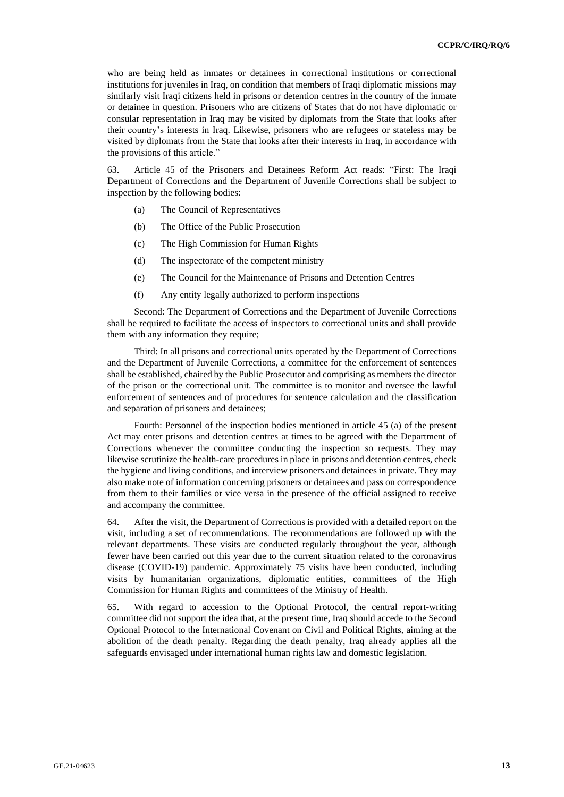who are being held as inmates or detainees in correctional institutions or correctional institutions for juveniles in Iraq, on condition that members of Iraqi diplomatic missions may similarly visit Iraqi citizens held in prisons or detention centres in the country of the inmate or detainee in question. Prisoners who are citizens of States that do not have diplomatic or consular representation in Iraq may be visited by diplomats from the State that looks after their country's interests in Iraq. Likewise, prisoners who are refugees or stateless may be visited by diplomats from the State that looks after their interests in Iraq, in accordance with the provisions of this article."

63. Article 45 of the Prisoners and Detainees Reform Act reads: "First: The Iraqi Department of Corrections and the Department of Juvenile Corrections shall be subject to inspection by the following bodies:

- (a) The Council of Representatives
- (b) The Office of the Public Prosecution
- (c) The High Commission for Human Rights
- (d) The inspectorate of the competent ministry
- (e) The Council for the Maintenance of Prisons and Detention Centres
- (f) Any entity legally authorized to perform inspections

Second: The Department of Corrections and the Department of Juvenile Corrections shall be required to facilitate the access of inspectors to correctional units and shall provide them with any information they require;

Third: In all prisons and correctional units operated by the Department of Corrections and the Department of Juvenile Corrections, a committee for the enforcement of sentences shall be established, chaired by the Public Prosecutor and comprising as members the director of the prison or the correctional unit. The committee is to monitor and oversee the lawful enforcement of sentences and of procedures for sentence calculation and the classification and separation of prisoners and detainees;

Fourth: Personnel of the inspection bodies mentioned in article 45 (a) of the present Act may enter prisons and detention centres at times to be agreed with the Department of Corrections whenever the committee conducting the inspection so requests. They may likewise scrutinize the health-care procedures in place in prisons and detention centres, check the hygiene and living conditions, and interview prisoners and detainees in private. They may also make note of information concerning prisoners or detainees and pass on correspondence from them to their families or vice versa in the presence of the official assigned to receive and accompany the committee.

64. After the visit, the Department of Corrections is provided with a detailed report on the visit, including a set of recommendations. The recommendations are followed up with the relevant departments. These visits are conducted regularly throughout the year, although fewer have been carried out this year due to the current situation related to the coronavirus disease (COVID-19) pandemic. Approximately 75 visits have been conducted, including visits by humanitarian organizations, diplomatic entities, committees of the High Commission for Human Rights and committees of the Ministry of Health.

65. With regard to accession to the Optional Protocol, the central report-writing committee did not support the idea that, at the present time, Iraq should accede to the Second Optional Protocol to the International Covenant on Civil and Political Rights, aiming at the abolition of the death penalty. Regarding the death penalty, Iraq already applies all the safeguards envisaged under international human rights law and domestic legislation.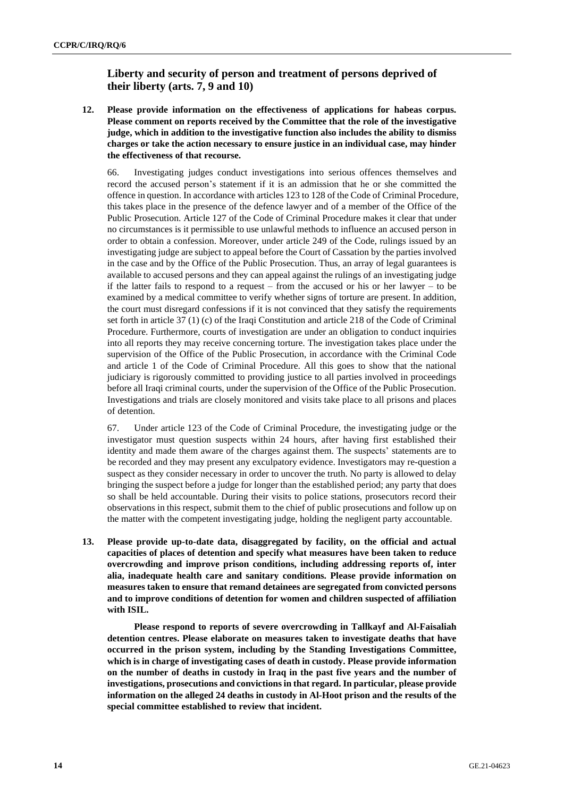# **Liberty and security of person and treatment of persons deprived of their liberty (arts. 7, 9 and 10)**

**12. Please provide information on the effectiveness of applications for habeas corpus. Please comment on reports received by the Committee that the role of the investigative judge, which in addition to the investigative function also includes the ability to dismiss charges or take the action necessary to ensure justice in an individual case, may hinder the effectiveness of that recourse.**

66. Investigating judges conduct investigations into serious offences themselves and record the accused person's statement if it is an admission that he or she committed the offence in question. In accordance with articles 123 to 128 of the Code of Criminal Procedure, this takes place in the presence of the defence lawyer and of a member of the Office of the Public Prosecution. Article 127 of the Code of Criminal Procedure makes it clear that under no circumstances is it permissible to use unlawful methods to influence an accused person in order to obtain a confession. Moreover, under article 249 of the Code, rulings issued by an investigating judge are subject to appeal before the Court of Cassation by the parties involved in the case and by the Office of the Public Prosecution. Thus, an array of legal guarantees is available to accused persons and they can appeal against the rulings of an investigating judge if the latter fails to respond to a request – from the accused or his or her lawyer – to be examined by a medical committee to verify whether signs of torture are present. In addition, the court must disregard confessions if it is not convinced that they satisfy the requirements set forth in article 37 (1) (c) of the Iraqi Constitution and article 218 of the Code of Criminal Procedure. Furthermore, courts of investigation are under an obligation to conduct inquiries into all reports they may receive concerning torture. The investigation takes place under the supervision of the Office of the Public Prosecution, in accordance with the Criminal Code and article 1 of the Code of Criminal Procedure. All this goes to show that the national judiciary is rigorously committed to providing justice to all parties involved in proceedings before all Iraqi criminal courts, under the supervision of the Office of the Public Prosecution. Investigations and trials are closely monitored and visits take place to all prisons and places of detention.

67. Under article 123 of the Code of Criminal Procedure, the investigating judge or the investigator must question suspects within 24 hours, after having first established their identity and made them aware of the charges against them. The suspects' statements are to be recorded and they may present any exculpatory evidence. Investigators may re-question a suspect as they consider necessary in order to uncover the truth. No party is allowed to delay bringing the suspect before a judge for longer than the established period; any party that does so shall be held accountable. During their visits to police stations, prosecutors record their observations in this respect, submit them to the chief of public prosecutions and follow up on the matter with the competent investigating judge, holding the negligent party accountable.

**13. Please provide up-to-date data, disaggregated by facility, on the official and actual capacities of places of detention and specify what measures have been taken to reduce overcrowding and improve prison conditions, including addressing reports of, inter alia, inadequate health care and sanitary conditions. Please provide information on measures taken to ensure that remand detainees are segregated from convicted persons and to improve conditions of detention for women and children suspected of affiliation with ISIL.**

**Please respond to reports of severe overcrowding in Tallkayf and Al-Faisaliah detention centres. Please elaborate on measures taken to investigate deaths that have occurred in the prison system, including by the Standing Investigations Committee, which is in charge of investigating cases of death in custody. Please provide information on the number of deaths in custody in Iraq in the past five years and the number of investigations, prosecutions and convictionsin that regard. In particular, please provide information on the alleged 24 deaths in custody in Al-Hoot prison and the results of the special committee established to review that incident.**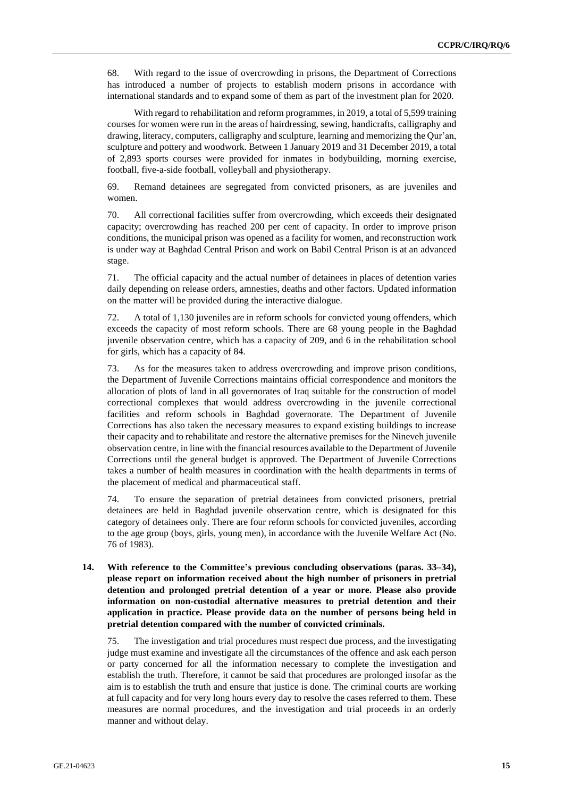68. With regard to the issue of overcrowding in prisons, the Department of Corrections has introduced a number of projects to establish modern prisons in accordance with international standards and to expand some of them as part of the investment plan for 2020.

With regard to rehabilitation and reform programmes, in 2019, a total of 5,599 training courses for women were run in the areas of hairdressing, sewing, handicrafts, calligraphy and drawing, literacy, computers, calligraphy and sculpture, learning and memorizing the Qur'an, sculpture and pottery and woodwork. Between 1 January 2019 and 31 December 2019, a total of 2,893 sports courses were provided for inmates in bodybuilding, morning exercise, football, five-a-side football, volleyball and physiotherapy.

69. Remand detainees are segregated from convicted prisoners, as are juveniles and women.

70. All correctional facilities suffer from overcrowding, which exceeds their designated capacity; overcrowding has reached 200 per cent of capacity. In order to improve prison conditions, the municipal prison was opened as a facility for women, and reconstruction work is under way at Baghdad Central Prison and work on Babil Central Prison is at an advanced stage.

71. The official capacity and the actual number of detainees in places of detention varies daily depending on release orders, amnesties, deaths and other factors. Updated information on the matter will be provided during the interactive dialogue.

72. A total of 1,130 juveniles are in reform schools for convicted young offenders, which exceeds the capacity of most reform schools. There are 68 young people in the Baghdad juvenile observation centre, which has a capacity of 209, and 6 in the rehabilitation school for girls, which has a capacity of 84.

73. As for the measures taken to address overcrowding and improve prison conditions, the Department of Juvenile Corrections maintains official correspondence and monitors the allocation of plots of land in all governorates of Iraq suitable for the construction of model correctional complexes that would address overcrowding in the juvenile correctional facilities and reform schools in Baghdad governorate. The Department of Juvenile Corrections has also taken the necessary measures to expand existing buildings to increase their capacity and to rehabilitate and restore the alternative premises for the Nineveh juvenile observation centre, in line with the financial resources available to the Department of Juvenile Corrections until the general budget is approved. The Department of Juvenile Corrections takes a number of health measures in coordination with the health departments in terms of the placement of medical and pharmaceutical staff.

74. To ensure the separation of pretrial detainees from convicted prisoners, pretrial detainees are held in Baghdad juvenile observation centre, which is designated for this category of detainees only. There are four reform schools for convicted juveniles, according to the age group (boys, girls, young men), in accordance with the Juvenile Welfare Act (No. 76 of 1983).

**14. With reference to the Committee's previous concluding observations (paras. 33–34), please report on information received about the high number of prisoners in pretrial detention and prolonged pretrial detention of a year or more. Please also provide information on non-custodial alternative measures to pretrial detention and their application in practice. Please provide data on the number of persons being held in pretrial detention compared with the number of convicted criminals.**

75. The investigation and trial procedures must respect due process, and the investigating judge must examine and investigate all the circumstances of the offence and ask each person or party concerned for all the information necessary to complete the investigation and establish the truth. Therefore, it cannot be said that procedures are prolonged insofar as the aim is to establish the truth and ensure that justice is done. The criminal courts are working at full capacity and for very long hours every day to resolve the cases referred to them. These measures are normal procedures, and the investigation and trial proceeds in an orderly manner and without delay.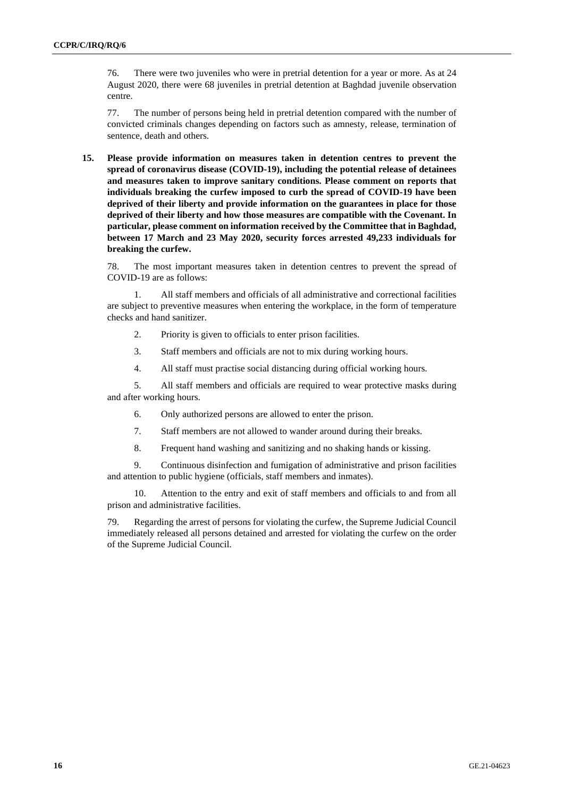76. There were two juveniles who were in pretrial detention for a year or more. As at 24 August 2020, there were 68 juveniles in pretrial detention at Baghdad juvenile observation centre.

77. The number of persons being held in pretrial detention compared with the number of convicted criminals changes depending on factors such as amnesty, release, termination of sentence, death and others.

**15. Please provide information on measures taken in detention centres to prevent the spread of coronavirus disease (COVID-19), including the potential release of detainees and measures taken to improve sanitary conditions. Please comment on reports that individuals breaking the curfew imposed to curb the spread of COVID-19 have been deprived of their liberty and provide information on the guarantees in place for those deprived of their liberty and how those measures are compatible with the Covenant. In particular, please comment on information received by the Committee that in Baghdad, between 17 March and 23 May 2020, security forces arrested 49,233 individuals for breaking the curfew.**

78. The most important measures taken in detention centres to prevent the spread of COVID-19 are as follows:

All staff members and officials of all administrative and correctional facilities are subject to preventive measures when entering the workplace, in the form of temperature checks and hand sanitizer.

- 2. Priority is given to officials to enter prison facilities.
- 3. Staff members and officials are not to mix during working hours.
- 4. All staff must practise social distancing during official working hours.

5. All staff members and officials are required to wear protective masks during and after working hours.

- 6. Only authorized persons are allowed to enter the prison.
- 7. Staff members are not allowed to wander around during their breaks.
- 8. Frequent hand washing and sanitizing and no shaking hands or kissing.

9. Continuous disinfection and fumigation of administrative and prison facilities and attention to public hygiene (officials, staff members and inmates).

10. Attention to the entry and exit of staff members and officials to and from all prison and administrative facilities.

79. Regarding the arrest of persons for violating the curfew, the Supreme Judicial Council immediately released all persons detained and arrested for violating the curfew on the order of the Supreme Judicial Council.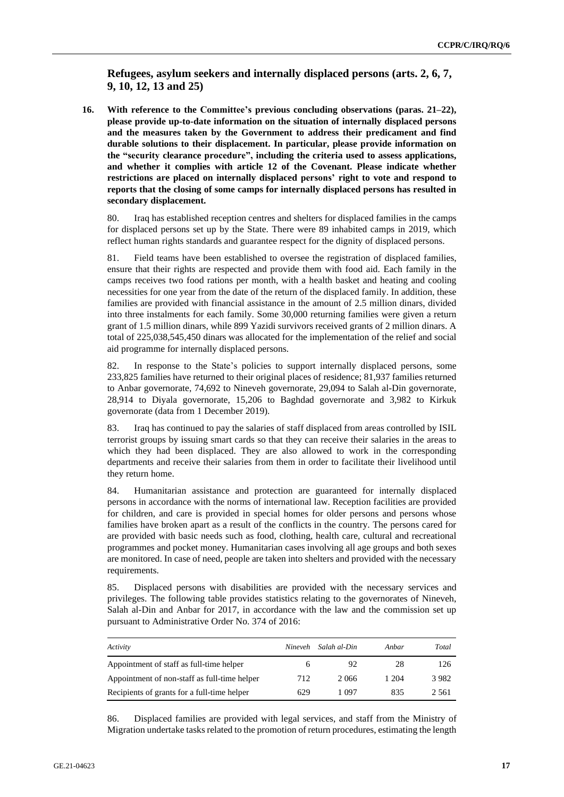**Refugees, asylum seekers and internally displaced persons (arts. 2, 6, 7, 9, 10, 12, 13 and 25)**

**16. With reference to the Committee's previous concluding observations (paras. 21–22), please provide up-to-date information on the situation of internally displaced persons and the measures taken by the Government to address their predicament and find durable solutions to their displacement. In particular, please provide information on the "security clearance procedure", including the criteria used to assess applications, and whether it complies with article 12 of the Covenant. Please indicate whether restrictions are placed on internally displaced persons' right to vote and respond to reports that the closing of some camps for internally displaced persons has resulted in secondary displacement.**

80. Iraq has established reception centres and shelters for displaced families in the camps for displaced persons set up by the State. There were 89 inhabited camps in 2019, which reflect human rights standards and guarantee respect for the dignity of displaced persons.

81. Field teams have been established to oversee the registration of displaced families, ensure that their rights are respected and provide them with food aid. Each family in the camps receives two food rations per month, with a health basket and heating and cooling necessities for one year from the date of the return of the displaced family. In addition, these families are provided with financial assistance in the amount of 2.5 million dinars, divided into three instalments for each family. Some 30,000 returning families were given a return grant of 1.5 million dinars, while 899 Yazidi survivors received grants of 2 million dinars. A total of 225,038,545,450 dinars was allocated for the implementation of the relief and social aid programme for internally displaced persons.

82. In response to the State's policies to support internally displaced persons, some 233,825 families have returned to their original places of residence; 81,937 families returned to Anbar governorate, 74,692 to Nineveh governorate, 29,094 to Salah al-Din governorate, 28,914 to Diyala governorate, 15,206 to Baghdad governorate and 3,982 to Kirkuk governorate (data from 1 December 2019).

83. Iraq has continued to pay the salaries of staff displaced from areas controlled by ISIL terrorist groups by issuing smart cards so that they can receive their salaries in the areas to which they had been displaced. They are also allowed to work in the corresponding departments and receive their salaries from them in order to facilitate their livelihood until they return home.

84. Humanitarian assistance and protection are guaranteed for internally displaced persons in accordance with the norms of international law. Reception facilities are provided for children, and care is provided in special homes for older persons and persons whose families have broken apart as a result of the conflicts in the country. The persons cared for are provided with basic needs such as food, clothing, health care, cultural and recreational programmes and pocket money. Humanitarian cases involving all age groups and both sexes are monitored. In case of need, people are taken into shelters and provided with the necessary requirements.

85. Displaced persons with disabilities are provided with the necessary services and privileges. The following table provides statistics relating to the governorates of Nineveh, Salah al-Din and Anbar for 2017, in accordance with the law and the commission set up pursuant to Administrative Order No. 374 of 2016:

| Activity                                     | Nineveh | Salah al-Din | Anbar | Total |
|----------------------------------------------|---------|--------------|-------|-------|
| Appointment of staff as full-time helper     |         | 92           | 28    | 126   |
| Appointment of non-staff as full-time helper | 712     | 2066         | 1 204 | 3982  |
| Recipients of grants for a full-time helper  | 629     | 1 097        | 835   | 2 561 |

86. Displaced families are provided with legal services, and staff from the Ministry of Migration undertake tasks related to the promotion of return procedures, estimating the length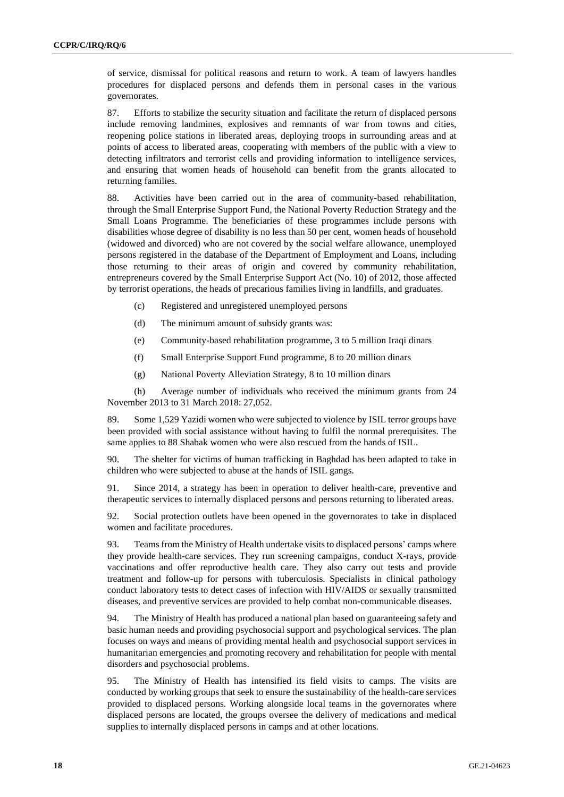of service, dismissal for political reasons and return to work. A team of lawyers handles procedures for displaced persons and defends them in personal cases in the various governorates.

87. Efforts to stabilize the security situation and facilitate the return of displaced persons include removing landmines, explosives and remnants of war from towns and cities, reopening police stations in liberated areas, deploying troops in surrounding areas and at points of access to liberated areas, cooperating with members of the public with a view to detecting infiltrators and terrorist cells and providing information to intelligence services, and ensuring that women heads of household can benefit from the grants allocated to returning families.

88. Activities have been carried out in the area of community-based rehabilitation, through the Small Enterprise Support Fund, the National Poverty Reduction Strategy and the Small Loans Programme. The beneficiaries of these programmes include persons with disabilities whose degree of disability is no less than 50 per cent, women heads of household (widowed and divorced) who are not covered by the social welfare allowance, unemployed persons registered in the database of the Department of Employment and Loans, including those returning to their areas of origin and covered by community rehabilitation, entrepreneurs covered by the Small Enterprise Support Act (No. 10) of 2012, those affected by terrorist operations, the heads of precarious families living in landfills, and graduates.

- (c) Registered and unregistered unemployed persons
- (d) The minimum amount of subsidy grants was:
- (e) Community-based rehabilitation programme, 3 to 5 million Iraqi dinars
- (f) Small Enterprise Support Fund programme, 8 to 20 million dinars
- (g) National Poverty Alleviation Strategy, 8 to 10 million dinars

(h) Average number of individuals who received the minimum grants from 24 November 2013 to 31 March 2018: 27,052.

89. Some 1,529 Yazidi women who were subjected to violence by ISIL terror groups have been provided with social assistance without having to fulfil the normal prerequisites. The same applies to 88 Shabak women who were also rescued from the hands of ISIL.

90. The shelter for victims of human trafficking in Baghdad has been adapted to take in children who were subjected to abuse at the hands of ISIL gangs.

91. Since 2014, a strategy has been in operation to deliver health-care, preventive and therapeutic services to internally displaced persons and persons returning to liberated areas.

92. Social protection outlets have been opened in the governorates to take in displaced women and facilitate procedures.

93. Teams from the Ministry of Health undertake visitsto displaced persons' camps where they provide health-care services. They run screening campaigns, conduct X-rays, provide vaccinations and offer reproductive health care. They also carry out tests and provide treatment and follow-up for persons with tuberculosis. Specialists in clinical pathology conduct laboratory tests to detect cases of infection with HIV/AIDS or sexually transmitted diseases, and preventive services are provided to help combat non-communicable diseases.

94. The Ministry of Health has produced a national plan based on guaranteeing safety and basic human needs and providing psychosocial support and psychological services. The plan focuses on ways and means of providing mental health and psychosocial support services in humanitarian emergencies and promoting recovery and rehabilitation for people with mental disorders and psychosocial problems.

95. The Ministry of Health has intensified its field visits to camps. The visits are conducted by working groups that seek to ensure the sustainability of the health-care services provided to displaced persons. Working alongside local teams in the governorates where displaced persons are located, the groups oversee the delivery of medications and medical supplies to internally displaced persons in camps and at other locations.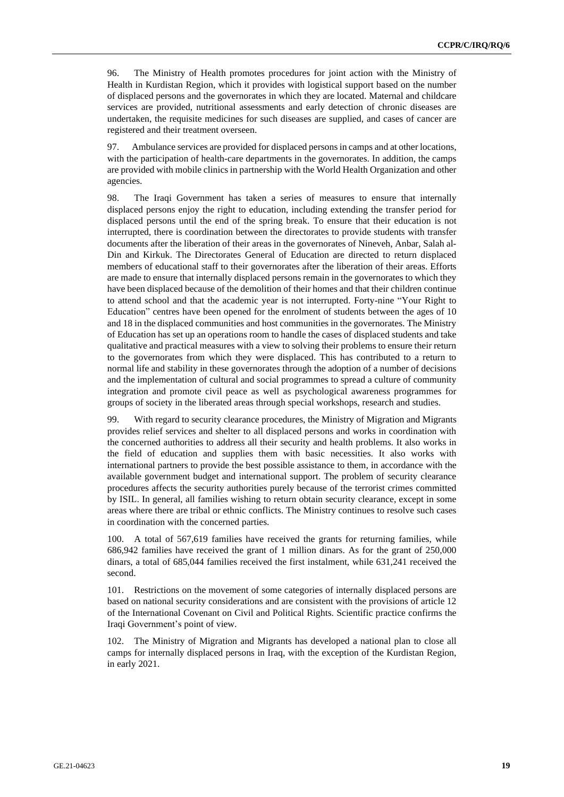96. The Ministry of Health promotes procedures for joint action with the Ministry of Health in Kurdistan Region, which it provides with logistical support based on the number of displaced persons and the governorates in which they are located. Maternal and childcare services are provided, nutritional assessments and early detection of chronic diseases are undertaken, the requisite medicines for such diseases are supplied, and cases of cancer are registered and their treatment overseen.

97. Ambulance services are provided for displaced personsin camps and at other locations, with the participation of health-care departments in the governorates. In addition, the camps are provided with mobile clinics in partnership with the World Health Organization and other agencies.

98. The Iraqi Government has taken a series of measures to ensure that internally displaced persons enjoy the right to education, including extending the transfer period for displaced persons until the end of the spring break. To ensure that their education is not interrupted, there is coordination between the directorates to provide students with transfer documents after the liberation of their areas in the governorates of Nineveh, Anbar, Salah al-Din and Kirkuk. The Directorates General of Education are directed to return displaced members of educational staff to their governorates after the liberation of their areas. Efforts are made to ensure that internally displaced persons remain in the governorates to which they have been displaced because of the demolition of their homes and that their children continue to attend school and that the academic year is not interrupted. Forty-nine "Your Right to Education" centres have been opened for the enrolment of students between the ages of 10 and 18 in the displaced communities and host communities in the governorates. The Ministry of Education has set up an operations room to handle the cases of displaced students and take qualitative and practical measures with a view to solving their problems to ensure their return to the governorates from which they were displaced. This has contributed to a return to normal life and stability in these governorates through the adoption of a number of decisions and the implementation of cultural and social programmes to spread a culture of community integration and promote civil peace as well as psychological awareness programmes for groups of society in the liberated areas through special workshops, research and studies.

99. With regard to security clearance procedures, the Ministry of Migration and Migrants provides relief services and shelter to all displaced persons and works in coordination with the concerned authorities to address all their security and health problems. It also works in the field of education and supplies them with basic necessities. It also works with international partners to provide the best possible assistance to them, in accordance with the available government budget and international support. The problem of security clearance procedures affects the security authorities purely because of the terrorist crimes committed by ISIL. In general, all families wishing to return obtain security clearance, except in some areas where there are tribal or ethnic conflicts. The Ministry continues to resolve such cases in coordination with the concerned parties.

100. A total of 567,619 families have received the grants for returning families, while 686,942 families have received the grant of 1 million dinars. As for the grant of 250,000 dinars, a total of 685,044 families received the first instalment, while 631,241 received the second.

101. Restrictions on the movement of some categories of internally displaced persons are based on national security considerations and are consistent with the provisions of article 12 of the International Covenant on Civil and Political Rights. Scientific practice confirms the Iraqi Government's point of view.

102. The Ministry of Migration and Migrants has developed a national plan to close all camps for internally displaced persons in Iraq, with the exception of the Kurdistan Region, in early 2021.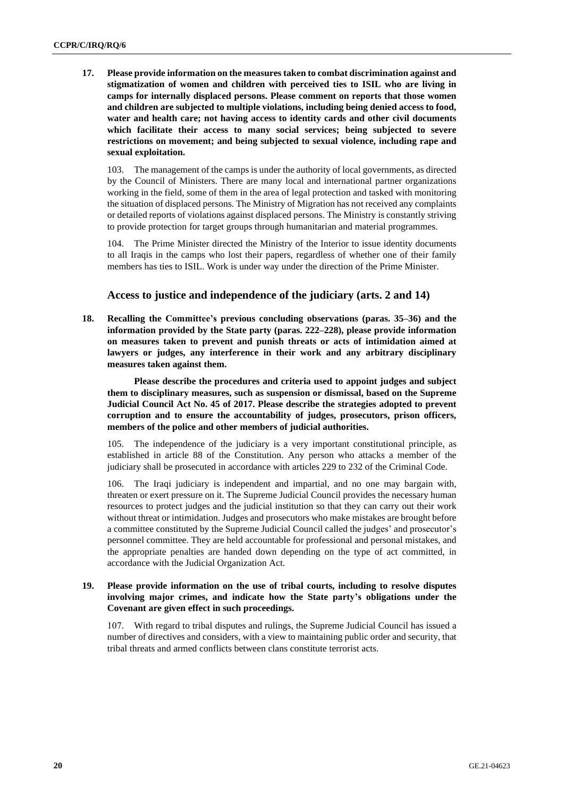**17. Please provide information on the measures taken to combat discrimination against and stigmatization of women and children with perceived ties to ISIL who are living in camps for internally displaced persons. Please comment on reports that those women and children are subjected to multiple violations, including being denied access to food, water and health care; not having access to identity cards and other civil documents which facilitate their access to many social services; being subjected to severe restrictions on movement; and being subjected to sexual violence, including rape and sexual exploitation.**

103. The management of the camps is under the authority of local governments, as directed by the Council of Ministers. There are many local and international partner organizations working in the field, some of them in the area of legal protection and tasked with monitoring the situation of displaced persons. The Ministry of Migration has not received any complaints or detailed reports of violations against displaced persons. The Ministry is constantly striving to provide protection for target groups through humanitarian and material programmes.

104. The Prime Minister directed the Ministry of the Interior to issue identity documents to all Iraqis in the camps who lost their papers, regardless of whether one of their family members has ties to ISIL. Work is under way under the direction of the Prime Minister.

#### **Access to justice and independence of the judiciary (arts. 2 and 14)**

**18. Recalling the Committee's previous concluding observations (paras. 35–36) and the information provided by the State party (paras. 222–228), please provide information on measures taken to prevent and punish threats or acts of intimidation aimed at lawyers or judges, any interference in their work and any arbitrary disciplinary measures taken against them.**

**Please describe the procedures and criteria used to appoint judges and subject them to disciplinary measures, such as suspension or dismissal, based on the Supreme Judicial Council Act No. 45 of 2017. Please describe the strategies adopted to prevent corruption and to ensure the accountability of judges, prosecutors, prison officers, members of the police and other members of judicial authorities.**

105. The independence of the judiciary is a very important constitutional principle, as established in article 88 of the Constitution. Any person who attacks a member of the judiciary shall be prosecuted in accordance with articles 229 to 232 of the Criminal Code.

106. The Iraqi judiciary is independent and impartial, and no one may bargain with, threaten or exert pressure on it. The Supreme Judicial Council provides the necessary human resources to protect judges and the judicial institution so that they can carry out their work without threat or intimidation. Judges and prosecutors who make mistakes are brought before a committee constituted by the Supreme Judicial Council called the judges' and prosecutor's personnel committee. They are held accountable for professional and personal mistakes, and the appropriate penalties are handed down depending on the type of act committed, in accordance with the Judicial Organization Act.

#### **19. Please provide information on the use of tribal courts, including to resolve disputes involving major crimes, and indicate how the State party's obligations under the Covenant are given effect in such proceedings.**

107. With regard to tribal disputes and rulings, the Supreme Judicial Council has issued a number of directives and considers, with a view to maintaining public order and security, that tribal threats and armed conflicts between clans constitute terrorist acts.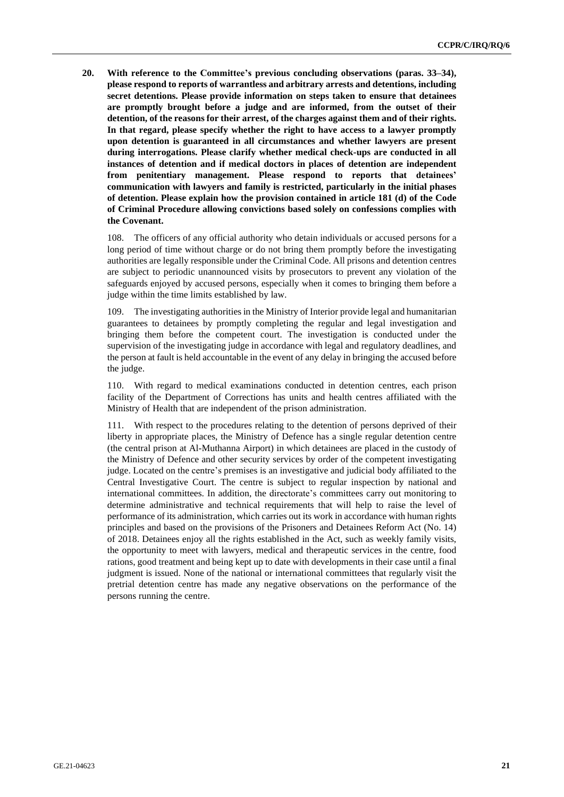**20. With reference to the Committee's previous concluding observations (paras. 33–34), please respond to reports of warrantless and arbitrary arrests and detentions, including secret detentions. Please provide information on steps taken to ensure that detainees are promptly brought before a judge and are informed, from the outset of their detention, of the reasons for their arrest, of the charges against them and of their rights. In that regard, please specify whether the right to have access to a lawyer promptly upon detention is guaranteed in all circumstances and whether lawyers are present during interrogations. Please clarify whether medical check-ups are conducted in all instances of detention and if medical doctors in places of detention are independent from penitentiary management. Please respond to reports that detainees' communication with lawyers and family is restricted, particularly in the initial phases of detention. Please explain how the provision contained in article 181 (d) of the Code of Criminal Procedure allowing convictions based solely on confessions complies with the Covenant.**

108. The officers of any official authority who detain individuals or accused persons for a long period of time without charge or do not bring them promptly before the investigating authorities are legally responsible under the Criminal Code. All prisons and detention centres are subject to periodic unannounced visits by prosecutors to prevent any violation of the safeguards enjoyed by accused persons, especially when it comes to bringing them before a judge within the time limits established by law.

109. The investigating authoritiesin the Ministry of Interior provide legal and humanitarian guarantees to detainees by promptly completing the regular and legal investigation and bringing them before the competent court. The investigation is conducted under the supervision of the investigating judge in accordance with legal and regulatory deadlines, and the person at fault is held accountable in the event of any delay in bringing the accused before the judge.

110. With regard to medical examinations conducted in detention centres, each prison facility of the Department of Corrections has units and health centres affiliated with the Ministry of Health that are independent of the prison administration.

111. With respect to the procedures relating to the detention of persons deprived of their liberty in appropriate places, the Ministry of Defence has a single regular detention centre (the central prison at Al-Muthanna Airport) in which detainees are placed in the custody of the Ministry of Defence and other security services by order of the competent investigating judge. Located on the centre's premises is an investigative and judicial body affiliated to the Central Investigative Court. The centre is subject to regular inspection by national and international committees. In addition, the directorate's committees carry out monitoring to determine administrative and technical requirements that will help to raise the level of performance of its administration, which carries out its work in accordance with human rights principles and based on the provisions of the Prisoners and Detainees Reform Act (No. 14) of 2018. Detainees enjoy all the rights established in the Act, such as weekly family visits, the opportunity to meet with lawyers, medical and therapeutic services in the centre, food rations, good treatment and being kept up to date with developments in their case until a final judgment is issued. None of the national or international committees that regularly visit the pretrial detention centre has made any negative observations on the performance of the persons running the centre.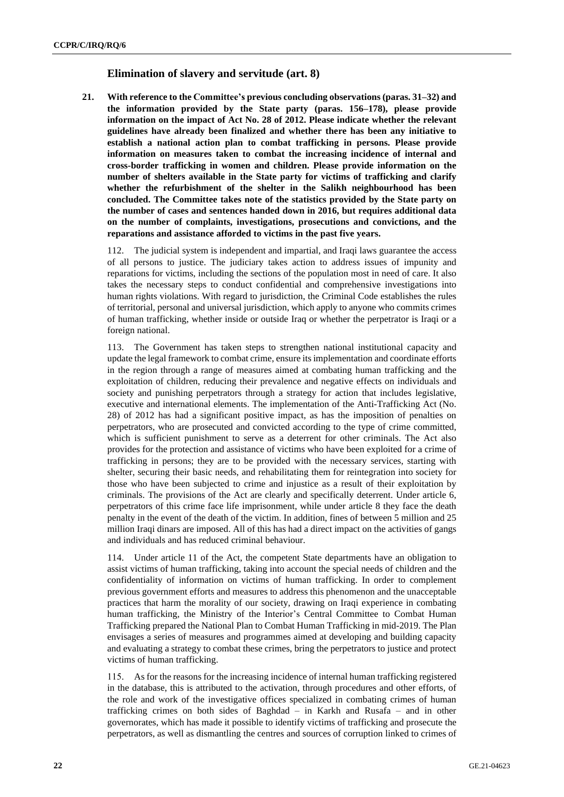#### **Elimination of slavery and servitude (art. 8)**

**21. With reference to the Committee's previous concluding observations (paras. 31–32) and the information provided by the State party (paras. 156–178), please provide information on the impact of Act No. 28 of 2012. Please indicate whether the relevant guidelines have already been finalized and whether there has been any initiative to establish a national action plan to combat trafficking in persons. Please provide information on measures taken to combat the increasing incidence of internal and cross-border trafficking in women and children. Please provide information on the number of shelters available in the State party for victims of trafficking and clarify whether the refurbishment of the shelter in the Salikh neighbourhood has been concluded. The Committee takes note of the statistics provided by the State party on the number of cases and sentences handed down in 2016, but requires additional data on the number of complaints, investigations, prosecutions and convictions, and the reparations and assistance afforded to victims in the past five years.**

112. The judicial system is independent and impartial, and Iraqi laws guarantee the access of all persons to justice. The judiciary takes action to address issues of impunity and reparations for victims, including the sections of the population most in need of care. It also takes the necessary steps to conduct confidential and comprehensive investigations into human rights violations. With regard to jurisdiction, the Criminal Code establishes the rules of territorial, personal and universal jurisdiction, which apply to anyone who commits crimes of human trafficking, whether inside or outside Iraq or whether the perpetrator is Iraqi or a foreign national.

113. The Government has taken steps to strengthen national institutional capacity and update the legal framework to combat crime, ensure itsimplementation and coordinate efforts in the region through a range of measures aimed at combating human trafficking and the exploitation of children, reducing their prevalence and negative effects on individuals and society and punishing perpetrators through a strategy for action that includes legislative, executive and international elements. The implementation of the Anti-Trafficking Act (No. 28) of 2012 has had a significant positive impact, as has the imposition of penalties on perpetrators, who are prosecuted and convicted according to the type of crime committed, which is sufficient punishment to serve as a deterrent for other criminals. The Act also provides for the protection and assistance of victims who have been exploited for a crime of trafficking in persons; they are to be provided with the necessary services, starting with shelter, securing their basic needs, and rehabilitating them for reintegration into society for those who have been subjected to crime and injustice as a result of their exploitation by criminals. The provisions of the Act are clearly and specifically deterrent. Under article 6, perpetrators of this crime face life imprisonment, while under article 8 they face the death penalty in the event of the death of the victim. In addition, fines of between 5 million and 25 million Iraqi dinars are imposed. All of this has had a direct impact on the activities of gangs and individuals and has reduced criminal behaviour.

114. Under article 11 of the Act, the competent State departments have an obligation to assist victims of human trafficking, taking into account the special needs of children and the confidentiality of information on victims of human trafficking. In order to complement previous government efforts and measures to address this phenomenon and the unacceptable practices that harm the morality of our society, drawing on Iraqi experience in combating human trafficking, the Ministry of the Interior's Central Committee to Combat Human Trafficking prepared the National Plan to Combat Human Trafficking in mid-2019. The Plan envisages a series of measures and programmes aimed at developing and building capacity and evaluating a strategy to combat these crimes, bring the perpetrators to justice and protect victims of human trafficking.

115. As for the reasons for the increasing incidence of internal human trafficking registered in the database, this is attributed to the activation, through procedures and other efforts, of the role and work of the investigative offices specialized in combating crimes of human trafficking crimes on both sides of Baghdad – in Karkh and Rusafa – and in other governorates, which has made it possible to identify victims of trafficking and prosecute the perpetrators, as well as dismantling the centres and sources of corruption linked to crimes of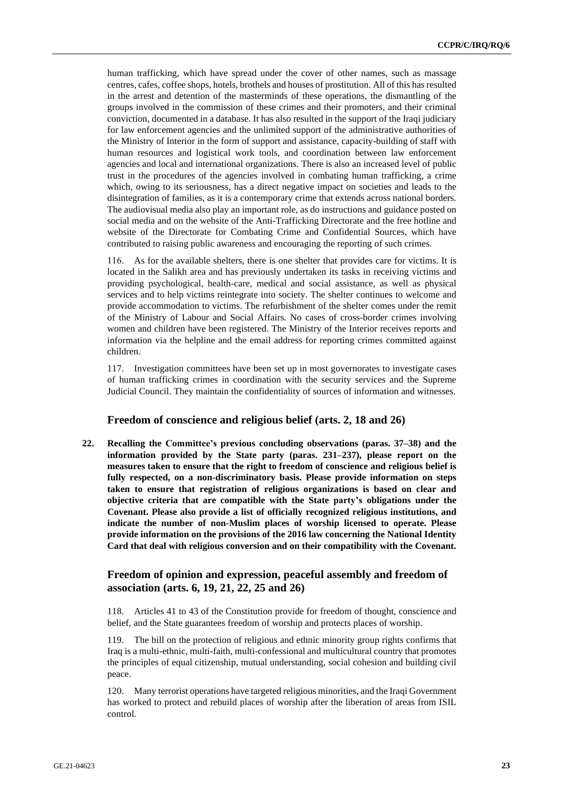human trafficking, which have spread under the cover of other names, such as massage centres, cafes, coffee shops, hotels, brothels and houses of prostitution. All of this hasresulted in the arrest and detention of the masterminds of these operations, the dismantling of the groups involved in the commission of these crimes and their promoters, and their criminal conviction, documented in a database. It has also resulted in the support of the Iraqi judiciary for law enforcement agencies and the unlimited support of the administrative authorities of the Ministry of Interior in the form of support and assistance, capacity-building of staff with human resources and logistical work tools, and coordination between law enforcement agencies and local and international organizations. There is also an increased level of public trust in the procedures of the agencies involved in combating human trafficking, a crime which, owing to its seriousness, has a direct negative impact on societies and leads to the disintegration of families, as it is a contemporary crime that extends across national borders. The audiovisual media also play an important role, as do instructions and guidance posted on social media and on the website of the Anti-Trafficking Directorate and the free hotline and website of the Directorate for Combating Crime and Confidential Sources, which have contributed to raising public awareness and encouraging the reporting of such crimes.

116. As for the available shelters, there is one shelter that provides care for victims. It is located in the Salikh area and has previously undertaken its tasks in receiving victims and providing psychological, health-care, medical and social assistance, as well as physical services and to help victims reintegrate into society. The shelter continues to welcome and provide accommodation to victims. The refurbishment of the shelter comes under the remit of the Ministry of Labour and Social Affairs. No cases of cross-border crimes involving women and children have been registered. The Ministry of the Interior receives reports and information via the helpline and the email address for reporting crimes committed against children.

117. Investigation committees have been set up in most governorates to investigate cases of human trafficking crimes in coordination with the security services and the Supreme Judicial Council. They maintain the confidentiality of sources of information and witnesses.

#### **Freedom of conscience and religious belief (arts. 2, 18 and 26)**

**22. Recalling the Committee's previous concluding observations (paras. 37–38) and the information provided by the State party (paras. 231–237), please report on the measures taken to ensure that the right to freedom of conscience and religious belief is fully respected, on a non-discriminatory basis. Please provide information on steps taken to ensure that registration of religious organizations is based on clear and objective criteria that are compatible with the State party's obligations under the Covenant. Please also provide a list of officially recognized religious institutions, and indicate the number of non-Muslim places of worship licensed to operate. Please provide information on the provisions of the 2016 law concerning the National Identity Card that deal with religious conversion and on their compatibility with the Covenant.**

# **Freedom of opinion and expression, peaceful assembly and freedom of association (arts. 6, 19, 21, 22, 25 and 26)**

118. Articles 41 to 43 of the Constitution provide for freedom of thought, conscience and belief, and the State guarantees freedom of worship and protects places of worship.

119. The bill on the protection of religious and ethnic minority group rights confirms that Iraq is a multi-ethnic, multi-faith, multi-confessional and multicultural country that promotes the principles of equal citizenship, mutual understanding, social cohesion and building civil peace.

120. Many terrorist operations have targeted religious minorities, and the Iraqi Government has worked to protect and rebuild places of worship after the liberation of areas from ISIL control.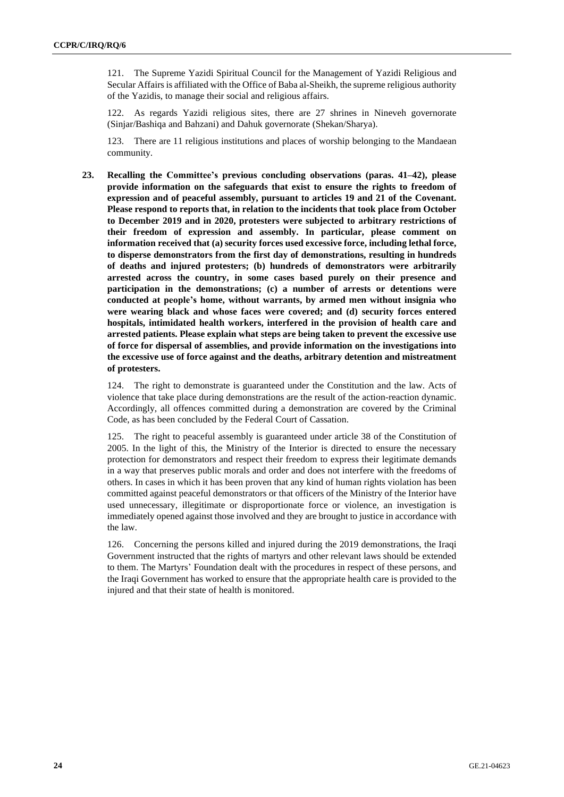121. The Supreme Yazidi Spiritual Council for the Management of Yazidi Religious and Secular Affairs is affiliated with the Office of Baba al-Sheikh, the supreme religious authority of the Yazidis, to manage their social and religious affairs.

122. As regards Yazidi religious sites, there are 27 shrines in Nineveh governorate (Sinjar/Bashiqa and Bahzani) and Dahuk governorate (Shekan/Sharya).

123. There are 11 religious institutions and places of worship belonging to the Mandaean community.

**23. Recalling the Committee's previous concluding observations (paras. 41–42), please provide information on the safeguards that exist to ensure the rights to freedom of expression and of peaceful assembly, pursuant to articles 19 and 21 of the Covenant. Please respond to reports that, in relation to the incidents that took place from October to December 2019 and in 2020, protesters were subjected to arbitrary restrictions of their freedom of expression and assembly. In particular, please comment on information received that (a) security forces used excessive force, including lethal force, to disperse demonstrators from the first day of demonstrations, resulting in hundreds of deaths and injured protesters; (b) hundreds of demonstrators were arbitrarily arrested across the country, in some cases based purely on their presence and participation in the demonstrations; (c) a number of arrests or detentions were conducted at people's home, without warrants, by armed men without insignia who were wearing black and whose faces were covered; and (d) security forces entered hospitals, intimidated health workers, interfered in the provision of health care and arrested patients. Please explain what steps are being taken to prevent the excessive use of force for dispersal of assemblies, and provide information on the investigations into the excessive use of force against and the deaths, arbitrary detention and mistreatment of protesters.**

124. The right to demonstrate is guaranteed under the Constitution and the law. Acts of violence that take place during demonstrations are the result of the action-reaction dynamic. Accordingly, all offences committed during a demonstration are covered by the Criminal Code, as has been concluded by the Federal Court of Cassation.

125. The right to peaceful assembly is guaranteed under article 38 of the Constitution of 2005. In the light of this, the Ministry of the Interior is directed to ensure the necessary protection for demonstrators and respect their freedom to express their legitimate demands in a way that preserves public morals and order and does not interfere with the freedoms of others. In cases in which it has been proven that any kind of human rights violation has been committed against peaceful demonstrators or that officers of the Ministry of the Interior have used unnecessary, illegitimate or disproportionate force or violence, an investigation is immediately opened against those involved and they are brought to justice in accordance with the law.

126. Concerning the persons killed and injured during the 2019 demonstrations, the Iraqi Government instructed that the rights of martyrs and other relevant laws should be extended to them. The Martyrs' Foundation dealt with the procedures in respect of these persons, and the Iraqi Government has worked to ensure that the appropriate health care is provided to the injured and that their state of health is monitored.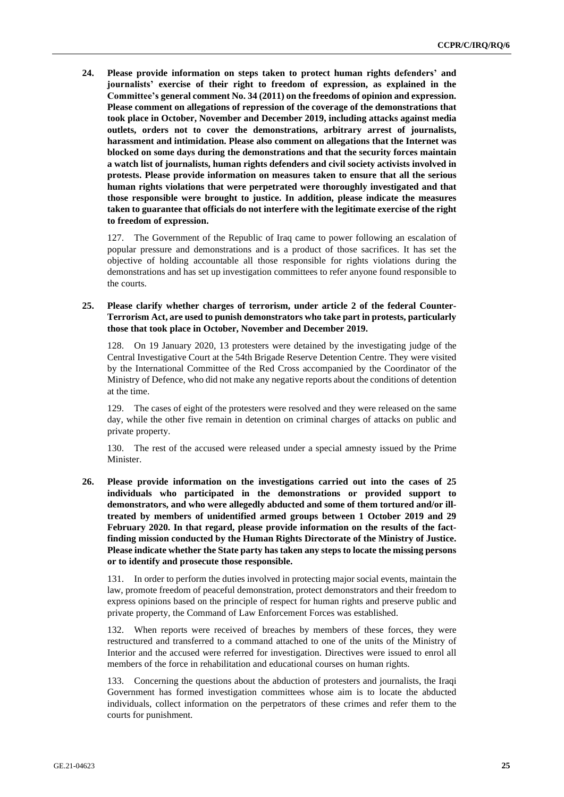**24. Please provide information on steps taken to protect human rights defenders' and journalists' exercise of their right to freedom of expression, as explained in the Committee's general comment No. 34 (2011) on the freedoms of opinion and expression. Please comment on allegations of repression of the coverage of the demonstrations that took place in October, November and December 2019, including attacks against media outlets, orders not to cover the demonstrations, arbitrary arrest of journalists, harassment and intimidation. Please also comment on allegations that the Internet was blocked on some days during the demonstrations and that the security forces maintain a watch list of journalists, human rights defenders and civil society activists involved in protests. Please provide information on measures taken to ensure that all the serious human rights violations that were perpetrated were thoroughly investigated and that those responsible were brought to justice. In addition, please indicate the measures taken to guarantee that officials do not interfere with the legitimate exercise of the right to freedom of expression.**

127. The Government of the Republic of Iraq came to power following an escalation of popular pressure and demonstrations and is a product of those sacrifices. It has set the objective of holding accountable all those responsible for rights violations during the demonstrations and has set up investigation committees to refer anyone found responsible to the courts.

#### **25. Please clarify whether charges of terrorism, under article 2 of the federal Counter-Terrorism Act, are used to punish demonstrators who take part in protests, particularly those that took place in October, November and December 2019.**

128. On 19 January 2020, 13 protesters were detained by the investigating judge of the Central Investigative Court at the 54th Brigade Reserve Detention Centre. They were visited by the International Committee of the Red Cross accompanied by the Coordinator of the Ministry of Defence, who did not make any negative reports about the conditions of detention at the time.

129. The cases of eight of the protesters were resolved and they were released on the same day, while the other five remain in detention on criminal charges of attacks on public and private property.

130. The rest of the accused were released under a special amnesty issued by the Prime Minister.

**26. Please provide information on the investigations carried out into the cases of 25 individuals who participated in the demonstrations or provided support to demonstrators, and who were allegedly abducted and some of them tortured and/or illtreated by members of unidentified armed groups between 1 October 2019 and 29 February 2020. In that regard, please provide information on the results of the factfinding mission conducted by the Human Rights Directorate of the Ministry of Justice. Please indicate whether the State party has taken any steps to locate the missing persons or to identify and prosecute those responsible.**

131. In order to perform the duties involved in protecting major social events, maintain the law, promote freedom of peaceful demonstration, protect demonstrators and their freedom to express opinions based on the principle of respect for human rights and preserve public and private property, the Command of Law Enforcement Forces was established.

132. When reports were received of breaches by members of these forces, they were restructured and transferred to a command attached to one of the units of the Ministry of Interior and the accused were referred for investigation. Directives were issued to enrol all members of the force in rehabilitation and educational courses on human rights.

133. Concerning the questions about the abduction of protesters and journalists, the Iraqi Government has formed investigation committees whose aim is to locate the abducted individuals, collect information on the perpetrators of these crimes and refer them to the courts for punishment.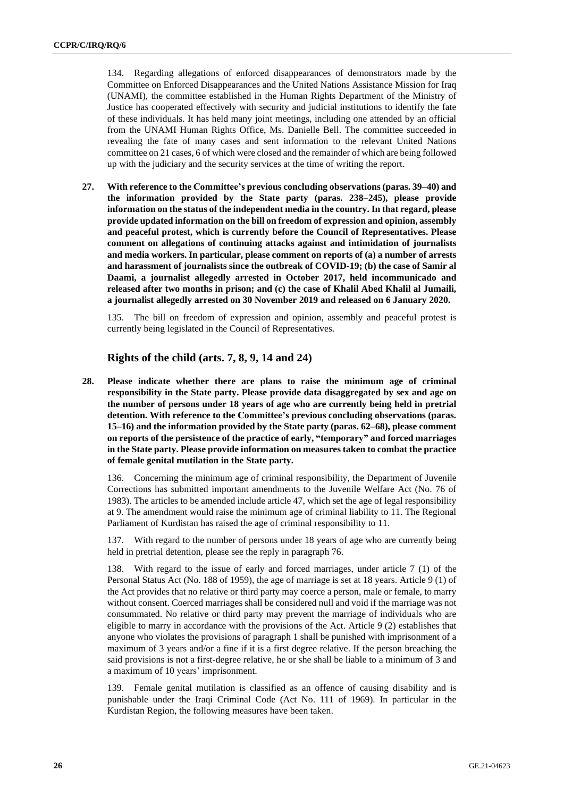134. Regarding allegations of enforced disappearances of demonstrators made by the Committee on Enforced Disappearances and the United Nations Assistance Mission for Iraq (UNAMI), the committee established in the Human Rights Department of the Ministry of Justice has cooperated effectively with security and judicial institutions to identify the fate of these individuals. It has held many joint meetings, including one attended by an official from the UNAMI Human Rights Office, Ms. Danielle Bell. The committee succeeded in revealing the fate of many cases and sent information to the relevant United Nations committee on 21 cases, 6 of which were closed and the remainder of which are being followed up with the judiciary and the security services at the time of writing the report.

**27. With reference to the Committee's previous concluding observations (paras. 39–40) and the information provided by the State party (paras. 238–245), please provide information on the status of the independent media in the country. In that regard, please provide updated information on the bill on freedom of expression and opinion, assembly and peaceful protest, which is currently before the Council of Representatives. Please comment on allegations of continuing attacks against and intimidation of journalists and media workers. In particular, please comment on reports of (a) a number of arrests and harassment of journalists since the outbreak of COVID-19; (b) the case of Samir al Daami, a journalist allegedly arrested in October 2017, held incommunicado and released after two months in prison; and (c) the case of Khalil Abed Khalil al Jumaili, a journalist allegedly arrested on 30 November 2019 and released on 6 January 2020.**

135. The bill on freedom of expression and opinion, assembly and peaceful protest is currently being legislated in the Council of Representatives.

#### **Rights of the child (arts. 7, 8, 9, 14 and 24)**

**28. Please indicate whether there are plans to raise the minimum age of criminal responsibility in the State party. Please provide data disaggregated by sex and age on the number of persons under 18 years of age who are currently being held in pretrial detention. With reference to the Committee's previous concluding observations (paras. 15–16) and the information provided by the State party (paras. 62–68), please comment on reports of the persistence of the practice of early, "temporary" and forced marriages in the State party. Please provide information on measures taken to combat the practice of female genital mutilation in the State party.**

136. Concerning the minimum age of criminal responsibility, the Department of Juvenile Corrections has submitted important amendments to the Juvenile Welfare Act (No. 76 of 1983). The articles to be amended include article 47, which set the age of legal responsibility at 9. The amendment would raise the minimum age of criminal liability to 11. The Regional Parliament of Kurdistan has raised the age of criminal responsibility to 11.

137. With regard to the number of persons under 18 years of age who are currently being held in pretrial detention, please see the reply in paragraph 76.

138. With regard to the issue of early and forced marriages, under article 7 (1) of the Personal Status Act (No. 188 of 1959), the age of marriage is set at 18 years. Article 9 (1) of the Act provides that no relative or third party may coerce a person, male or female, to marry without consent. Coerced marriages shall be considered null and void if the marriage was not consummated. No relative or third party may prevent the marriage of individuals who are eligible to marry in accordance with the provisions of the Act. Article 9 (2) establishes that anyone who violates the provisions of paragraph 1 shall be punished with imprisonment of a maximum of 3 years and/or a fine if it is a first degree relative. If the person breaching the said provisions is not a first-degree relative, he or she shall be liable to a minimum of 3 and a maximum of 10 years' imprisonment.

139. Female genital mutilation is classified as an offence of causing disability and is punishable under the Iraqi Criminal Code (Act No. 111 of 1969). In particular in the Kurdistan Region, the following measures have been taken.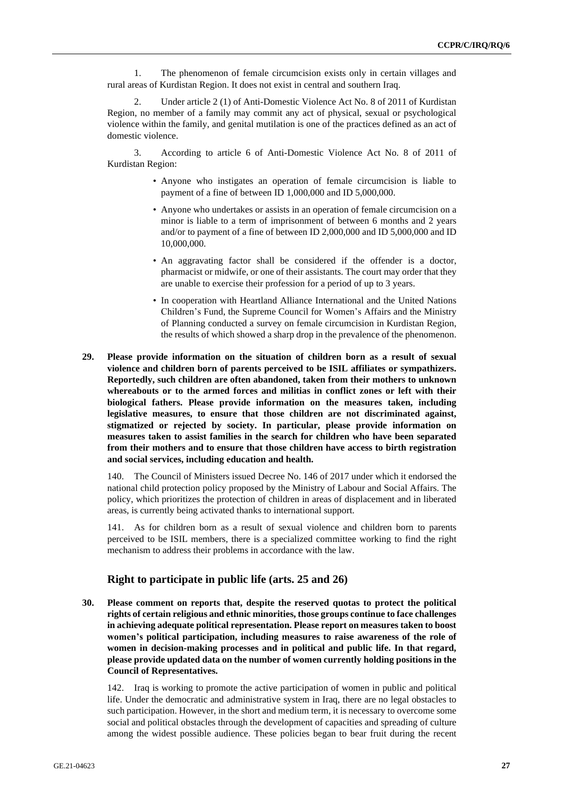1. The phenomenon of female circumcision exists only in certain villages and rural areas of Kurdistan Region. It does not exist in central and southern Iraq.

2. Under article 2 (1) of Anti-Domestic Violence Act No. 8 of 2011 of Kurdistan Region, no member of a family may commit any act of physical, sexual or psychological violence within the family, and genital mutilation is one of the practices defined as an act of domestic violence.

3. According to article 6 of Anti-Domestic Violence Act No. 8 of 2011 of Kurdistan Region:

- Anyone who instigates an operation of female circumcision is liable to payment of a fine of between ID 1,000,000 and ID 5,000,000.
- Anyone who undertakes or assists in an operation of female circumcision on a minor is liable to a term of imprisonment of between 6 months and 2 years and/or to payment of a fine of between ID 2,000,000 and ID 5,000,000 and ID 10,000,000.
- An aggravating factor shall be considered if the offender is a doctor, pharmacist or midwife, or one of their assistants. The court may order that they are unable to exercise their profession for a period of up to 3 years.
- In cooperation with Heartland Alliance International and the United Nations Children's Fund, the Supreme Council for Women's Affairs and the Ministry of Planning conducted a survey on female circumcision in Kurdistan Region, the results of which showed a sharp drop in the prevalence of the phenomenon.
- **29. Please provide information on the situation of children born as a result of sexual violence and children born of parents perceived to be ISIL affiliates or sympathizers. Reportedly, such children are often abandoned, taken from their mothers to unknown whereabouts or to the armed forces and militias in conflict zones or left with their biological fathers. Please provide information on the measures taken, including legislative measures, to ensure that those children are not discriminated against, stigmatized or rejected by society. In particular, please provide information on measures taken to assist families in the search for children who have been separated from their mothers and to ensure that those children have access to birth registration and social services, including education and health.**

140. The Council of Ministers issued Decree No. 146 of 2017 under which it endorsed the national child protection policy proposed by the Ministry of Labour and Social Affairs. The policy, which prioritizes the protection of children in areas of displacement and in liberated areas, is currently being activated thanks to international support.

141. As for children born as a result of sexual violence and children born to parents perceived to be ISIL members, there is a specialized committee working to find the right mechanism to address their problems in accordance with the law.

#### **Right to participate in public life (arts. 25 and 26)**

**30. Please comment on reports that, despite the reserved quotas to protect the political rights of certain religious and ethnic minorities, those groups continue to face challenges in achieving adequate political representation. Please report on measures taken to boost women's political participation, including measures to raise awareness of the role of women in decision-making processes and in political and public life. In that regard, please provide updated data on the number of women currently holding positions in the Council of Representatives.**

142. Iraq is working to promote the active participation of women in public and political life. Under the democratic and administrative system in Iraq, there are no legal obstacles to such participation. However, in the short and medium term, it is necessary to overcome some social and political obstacles through the development of capacities and spreading of culture among the widest possible audience. These policies began to bear fruit during the recent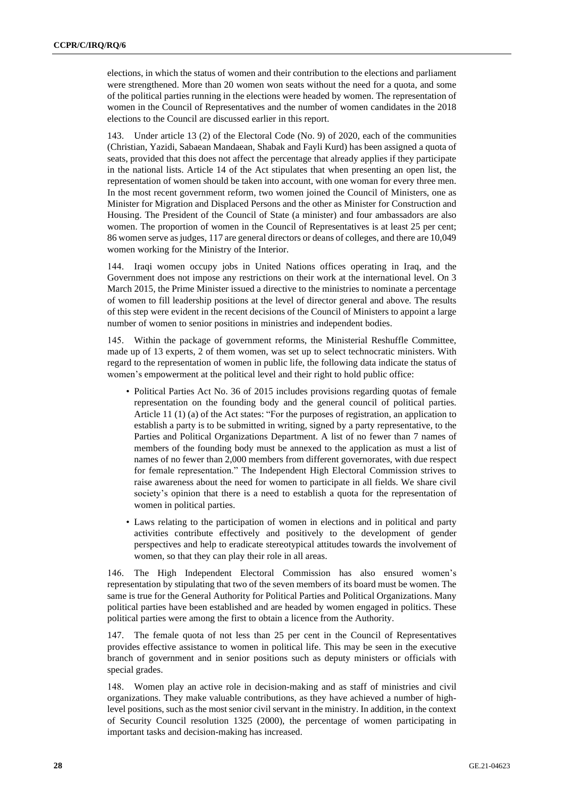elections, in which the status of women and their contribution to the elections and parliament were strengthened. More than 20 women won seats without the need for a quota, and some of the political parties running in the elections were headed by women. The representation of women in the Council of Representatives and the number of women candidates in the 2018 elections to the Council are discussed earlier in this report.

143. Under article 13 (2) of the Electoral Code (No. 9) of 2020, each of the communities (Christian, Yazidi, Sabaean Mandaean, Shabak and Fayli Kurd) has been assigned a quota of seats, provided that this does not affect the percentage that already applies if they participate in the national lists. Article 14 of the Act stipulates that when presenting an open list, the representation of women should be taken into account, with one woman for every three men. In the most recent government reform, two women joined the Council of Ministers, one as Minister for Migration and Displaced Persons and the other as Minister for Construction and Housing. The President of the Council of State (a minister) and four ambassadors are also women. The proportion of women in the Council of Representatives is at least 25 per cent; 86 women serve asjudges, 117 are general directors or deans of colleges, and there are 10,049 women working for the Ministry of the Interior.

144. Iraqi women occupy jobs in United Nations offices operating in Iraq, and the Government does not impose any restrictions on their work at the international level. On 3 March 2015, the Prime Minister issued a directive to the ministries to nominate a percentage of women to fill leadership positions at the level of director general and above. The results of this step were evident in the recent decisions of the Council of Ministers to appoint a large number of women to senior positions in ministries and independent bodies.

145. Within the package of government reforms, the Ministerial Reshuffle Committee, made up of 13 experts, 2 of them women, was set up to select technocratic ministers. With regard to the representation of women in public life, the following data indicate the status of women's empowerment at the political level and their right to hold public office:

- Political Parties Act No. 36 of 2015 includes provisions regarding quotas of female representation on the founding body and the general council of political parties. Article 11 (1) (a) of the Act states: "For the purposes of registration, an application to establish a party is to be submitted in writing, signed by a party representative, to the Parties and Political Organizations Department. A list of no fewer than 7 names of members of the founding body must be annexed to the application as must a list of names of no fewer than 2,000 members from different governorates, with due respect for female representation." The Independent High Electoral Commission strives to raise awareness about the need for women to participate in all fields. We share civil society's opinion that there is a need to establish a quota for the representation of women in political parties.
- Laws relating to the participation of women in elections and in political and party activities contribute effectively and positively to the development of gender perspectives and help to eradicate stereotypical attitudes towards the involvement of women, so that they can play their role in all areas.

146. The High Independent Electoral Commission has also ensured women's representation by stipulating that two of the seven members of its board must be women. The same is true for the General Authority for Political Parties and Political Organizations. Many political parties have been established and are headed by women engaged in politics. These political parties were among the first to obtain a licence from the Authority.

147. The female quota of not less than 25 per cent in the Council of Representatives provides effective assistance to women in political life. This may be seen in the executive branch of government and in senior positions such as deputy ministers or officials with special grades.

148. Women play an active role in decision-making and as staff of ministries and civil organizations. They make valuable contributions, as they have achieved a number of highlevel positions, such as the most senior civil servant in the ministry. In addition, in the context of Security Council resolution 1325 (2000), the percentage of women participating in important tasks and decision-making has increased.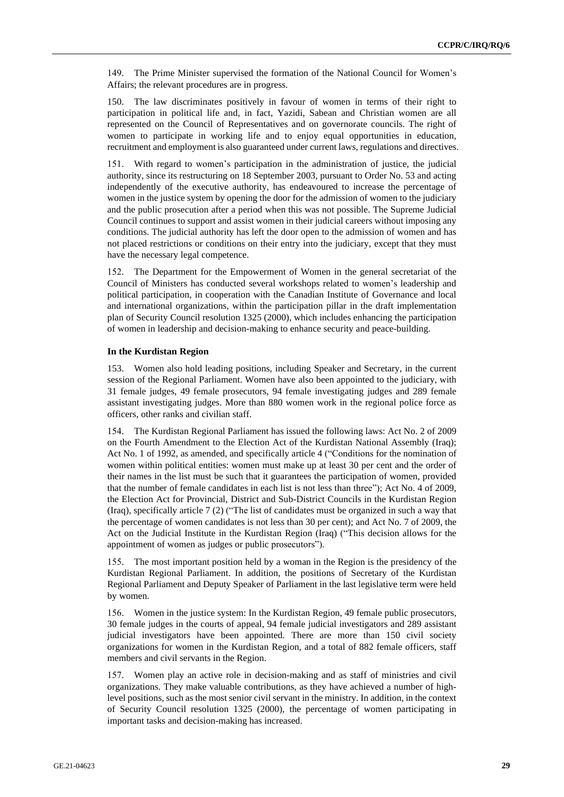149. The Prime Minister supervised the formation of the National Council for Women's Affairs; the relevant procedures are in progress.

150. The law discriminates positively in favour of women in terms of their right to participation in political life and, in fact, Yazidi, Sabean and Christian women are all represented on the Council of Representatives and on governorate councils. The right of women to participate in working life and to enjoy equal opportunities in education, recruitment and employment is also guaranteed under current laws, regulations and directives.

151. With regard to women's participation in the administration of justice, the judicial authority, since its restructuring on 18 September 2003, pursuant to Order No. 53 and acting independently of the executive authority, has endeavoured to increase the percentage of women in the justice system by opening the door for the admission of women to the judiciary and the public prosecution after a period when this was not possible. The Supreme Judicial Council continues to support and assist women in their judicial careers without imposing any conditions. The judicial authority has left the door open to the admission of women and has not placed restrictions or conditions on their entry into the judiciary, except that they must have the necessary legal competence.

152. The Department for the Empowerment of Women in the general secretariat of the Council of Ministers has conducted several workshops related to women's leadership and political participation, in cooperation with the Canadian Institute of Governance and local and international organizations, within the participation pillar in the draft implementation plan of Security Council resolution 1325 (2000), which includes enhancing the participation of women in leadership and decision-making to enhance security and peace-building.

#### **In the Kurdistan Region**

153. Women also hold leading positions, including Speaker and Secretary, in the current session of the Regional Parliament. Women have also been appointed to the judiciary, with 31 female judges, 49 female prosecutors, 94 female investigating judges and 289 female assistant investigating judges. More than 880 women work in the regional police force as officers, other ranks and civilian staff.

154. The Kurdistan Regional Parliament has issued the following laws: Act No. 2 of 2009 on the Fourth Amendment to the Election Act of the Kurdistan National Assembly (Iraq); Act No. 1 of 1992, as amended, and specifically article 4 ("Conditions for the nomination of women within political entities: women must make up at least 30 per cent and the order of their names in the list must be such that it guarantees the participation of women, provided that the number of female candidates in each list is not less than three"); Act No. 4 of 2009, the Election Act for Provincial, District and Sub-District Councils in the Kurdistan Region (Iraq), specifically article 7 (2) ("The list of candidates must be organized in such a way that the percentage of women candidates is not less than 30 per cent); and Act No. 7 of 2009, the Act on the Judicial Institute in the Kurdistan Region (Iraq) ("This decision allows for the appointment of women as judges or public prosecutors").

155. The most important position held by a woman in the Region is the presidency of the Kurdistan Regional Parliament. In addition, the positions of Secretary of the Kurdistan Regional Parliament and Deputy Speaker of Parliament in the last legislative term were held by women.

156. Women in the justice system: In the Kurdistan Region, 49 female public prosecutors, 30 female judges in the courts of appeal, 94 female judicial investigators and 289 assistant judicial investigators have been appointed. There are more than 150 civil society organizations for women in the Kurdistan Region, and a total of 882 female officers, staff members and civil servants in the Region.

157. Women play an active role in decision-making and as staff of ministries and civil organizations. They make valuable contributions, as they have achieved a number of highlevel positions, such as the most senior civil servant in the ministry. In addition, in the context of Security Council resolution 1325 (2000), the percentage of women participating in important tasks and decision-making has increased.